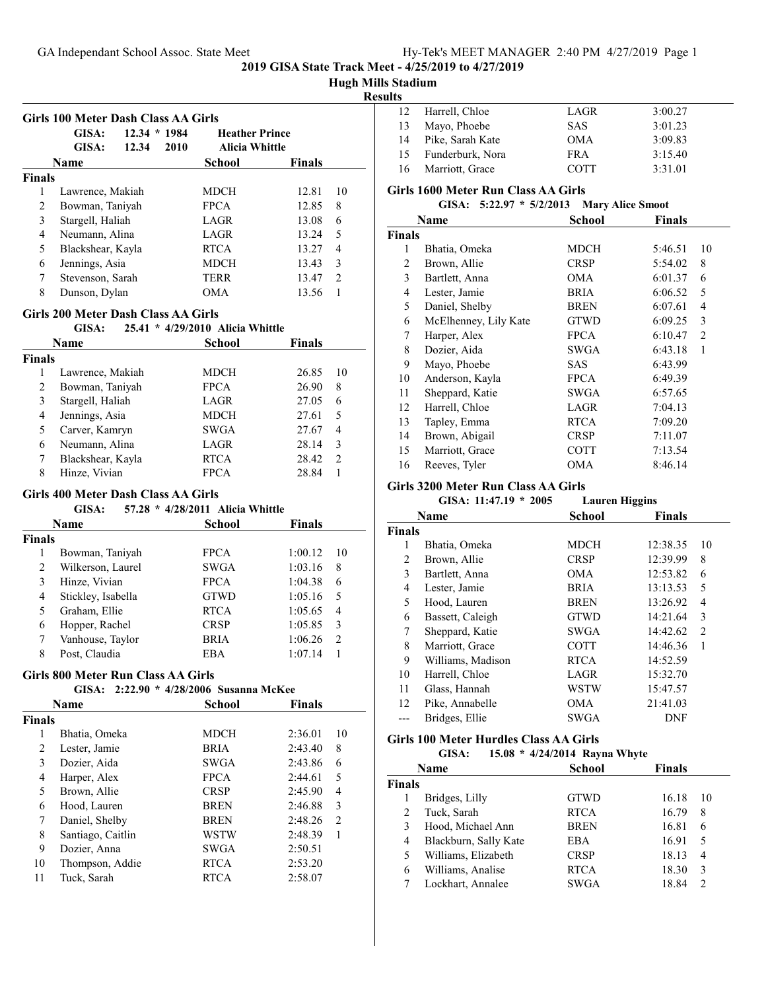# **Hugh Mills Stadium**

#### **Results**

|               | GISA:             | $12.34 * 1984$ |      | <b>Heather Prince</b> |               |                          |
|---------------|-------------------|----------------|------|-----------------------|---------------|--------------------------|
|               | GISA:             | 12.34          | 2010 | Alicia Whittle        |               |                          |
|               | Name              |                |      | School                | <b>Finals</b> |                          |
| <b>Finals</b> |                   |                |      |                       |               |                          |
| 1             | Lawrence, Makiah  |                |      | MDCH                  | 12.81         | 10                       |
| 2             | Bowman, Taniyah   |                |      | <b>FPCA</b>           | 12.85         | 8                        |
| 3             | Stargell, Haliah  |                |      | LAGR                  | 13.08         | 6                        |
| 4             | Neumann, Alina    |                |      | LAGR                  | 13.24         | $\overline{\phantom{0}}$ |
| 5             | Blackshear, Kayla |                |      | <b>RTCA</b>           | 13.27         | 4                        |
| 6             | Jennings, Asia    |                |      | <b>MDCH</b>           | 13.43         | 3                        |
| 7             | Stevenson, Sarah  |                |      | <b>TERR</b>           | 13.47         | $\mathcal{D}$            |
| 8             | Dunson, Dylan     |                |      | OM A                  | 13.56         |                          |

# **Girls 200 Meter Dash Class AA Girls**

|               | GISA:             | 25.41 * 4/29/2010 Alicia Whittle |               |               |
|---------------|-------------------|----------------------------------|---------------|---------------|
|               | Name              | School                           | <b>Finals</b> |               |
| <b>Finals</b> |                   |                                  |               |               |
| 1             | Lawrence, Makiah  | MDCH                             | 26.85         | 10            |
| 2             | Bowman, Taniyah   | <b>FPCA</b>                      | 26.90         | 8             |
| 3             | Stargell, Haliah  | LAGR                             | 27.05         | 6             |
| 4             | Jennings, Asia    | MDCH                             | 27.61         | 5             |
| 5             | Carver, Kamryn    | <b>SWGA</b>                      | 27.67         | 4             |
| 6             | Neumann, Alina    | LAGR                             | 28.14         | 3             |
| 7             | Blackshear, Kayla | <b>RTCA</b>                      | 28.42         | $\mathcal{L}$ |
| 8             | Hinze, Vivian     | <b>FPCA</b>                      | 28.84         |               |

#### **Girls 400 Meter Dash Class AA Girls**

#### **GISA:** 57.28 \* 4/28/2011 Alicia Whittle

| Name   |                    | School      | <b>Finals</b> |     |
|--------|--------------------|-------------|---------------|-----|
| Finals |                    |             |               |     |
|        | Bowman, Taniyah    | <b>FPCA</b> | 1:00.12       | -10 |
| 2      | Wilkerson, Laurel  | <b>SWGA</b> | 1:03.16       | 8   |
| 3      | Hinze, Vivian      | <b>FPCA</b> | 1:04.38       | 6   |
| 4      | Stickley, Isabella | <b>GTWD</b> | 1:05.16       | 5   |
| 5      | Graham, Ellie      | <b>RTCA</b> | 1:05.65       | 4   |
| 6      | Hopper, Rachel     | <b>CRSP</b> | 1:05.85       | 3   |
|        | Vanhouse, Taylor   | <b>BRIA</b> | 1:06.26       | 2   |
| 8      | Post, Claudia      | EBA         | 1:07.14       |     |

#### **Girls 800 Meter Run Class AA Girls**

# **GISA:** 2:22.90 \* 4/28/2006 Susanna McKee

|               | Name              | School      | <b>Finals</b> |                |
|---------------|-------------------|-------------|---------------|----------------|
| <b>Finals</b> |                   |             |               |                |
| 1             | Bhatia, Omeka     | <b>MDCH</b> | 2:36.01       | 10             |
| 2             | Lester, Jamie     | <b>BRIA</b> | 2:43.40       | 8              |
| 3             | Dozier, Aida      | <b>SWGA</b> | 2:43.86       | 6              |
| 4             | Harper, Alex      | <b>FPCA</b> | 2:44.61       | 5              |
| 5             | Brown, Allie      | <b>CRSP</b> | 2:45.90       | 4              |
| 6             | Hood, Lauren      | <b>BREN</b> | 2:46.88       | 3              |
| 7             | Daniel, Shelby    | <b>BREN</b> | 2:48.26       | $\mathfrak{D}$ |
| 8             | Santiago, Caitlin | WSTW        | 2:48.39       | 1              |
| 9             | Dozier, Anna      | <b>SWGA</b> | 2:50.51       |                |
| 10            | Thompson, Addie   | <b>RTCA</b> | 2:53.20       |                |
| 11            | Tuck, Sarah       | <b>RTCA</b> | 2:58.07       |                |

| 12  | Harrell, Chloe   | LAGR       | 3:00.27 |
|-----|------------------|------------|---------|
| 13  | Mayo, Phoebe     | <b>SAS</b> | 3:01.23 |
| 14  | Pike, Sarah Kate | <b>OMA</b> | 3:09.83 |
| 15  | Funderburk, Nora | <b>FRA</b> | 3:15.40 |
| -16 | Marriott, Grace  | COTT       | 3:31.01 |

#### **Girls 1600 Meter Run Class AA Girls**

# **GISA:** 5:22.97 \* 5/2/2013 Mary Alice Smoot

|                       | <b>School</b>  | <b>Finals</b> |                |
|-----------------------|----------------|---------------|----------------|
|                       |                |               |                |
| Bhatia, Omeka         | MDCH           | 5:46.51       | 10             |
| Brown, Allie          | <b>CRSP</b>    | 5:54.02       | 8              |
| Bartlett, Anna        | OMA            | 6:01.37       | 6              |
| Lester, Jamie         | <b>BRIA</b>    | 6:06.52       | 5              |
| Daniel, Shelby        | <b>BREN</b>    | 6:07.61       | 4              |
| McElhenney, Lily Kate | <b>GTWD</b>    | 6:09.25       | 3              |
| Harper, Alex          | <b>FPCA</b>    | 6:10.47       | $\overline{2}$ |
| Dozier, Aida          | SWGA           | 6:43.18       | 1              |
| Mayo, Phoebe          | SAS            | 6:43.99       |                |
| Anderson, Kayla       | <b>FPCA</b>    | 6:49.39       |                |
| Sheppard, Katie       | SWGA           | 6:57.65       |                |
| Harrell, Chloe        | LAGR           | 7:04.13       |                |
| Tapley, Emma          | <b>RTCA</b>    | 7:09.20       |                |
| Brown, Abigail        | <b>CRSP</b>    | 7:11.07       |                |
| Marriott, Grace       | COTT           | 7:13.54       |                |
| Reeves, Tyler         | OMA            | 8:46.14       |                |
|                       | Name<br>Finals |               |                |

#### **Girls 3200 Meter Run Class AA Girls**

**GISA: 11:47.19 \* Lauren Higgins 2005**

|        | Name              | <b>School</b> | <b>Finals</b> |    |
|--------|-------------------|---------------|---------------|----|
| Finals |                   |               |               |    |
|        | Bhatia, Omeka     | <b>MDCH</b>   | 12:38.35      | 10 |
| 2      | Brown, Allie      | <b>CRSP</b>   | 12:39.99      | 8  |
| 3      | Bartlett, Anna    | <b>OMA</b>    | 12:53.82      | 6  |
| 4      | Lester, Jamie     | <b>BRIA</b>   | 13:13.53      | 5  |
| 5      | Hood, Lauren      | <b>BREN</b>   | 13:26.92      | 4  |
| 6      | Bassett, Caleigh  | <b>GTWD</b>   | 14:21.64      | 3  |
| 7      | Sheppard, Katie   | SWGA          | 14:42.62      | 2  |
| 8      | Marriott, Grace   | <b>COTT</b>   | 14:46.36      | 1  |
| 9      | Williams, Madison | <b>RTCA</b>   | 14:52.59      |    |
| 10     | Harrell, Chloe    | LAGR          | 15:32.70      |    |
| 11     | Glass, Hannah     | WSTW          | 15:47.57      |    |
| 12     | Pike, Annabelle   | <b>OMA</b>    | 21:41.03      |    |
|        | Bridges, Ellie    | SWGA          | DNF           |    |

#### **Girls 100 Meter Hurdles Class AA Girls**

**GISA:** 15.08 \* 4/24/2014 Rayna Whyte

|               | ----                  | $\cdots$ $\cdots$ $\cdots$ $\cdots$ $\cdots$ $\cdots$ $\cdots$ |               |               |
|---------------|-----------------------|----------------------------------------------------------------|---------------|---------------|
|               | Name                  | <b>School</b>                                                  | <b>Finals</b> |               |
| <b>Finals</b> |                       |                                                                |               |               |
|               | Bridges, Lilly        | <b>GTWD</b>                                                    | 16.18         | 10            |
| 2             | Tuck, Sarah           | <b>RTCA</b>                                                    | 16.79         | 8             |
| 3             | Hood, Michael Ann     | <b>BREN</b>                                                    | 16.81         | 6             |
| 4             | Blackburn, Sally Kate | <b>EBA</b>                                                     | 16.91         | 5             |
| 5             | Williams, Elizabeth   | <b>CRSP</b>                                                    | 18.13         | 4             |
| 6             | Williams, Analise     | <b>RTCA</b>                                                    | 18.30         | 3             |
|               | Lockhart, Annalee     | <b>SWGA</b>                                                    | 18.84         | $\mathcal{L}$ |
|               |                       |                                                                |               |               |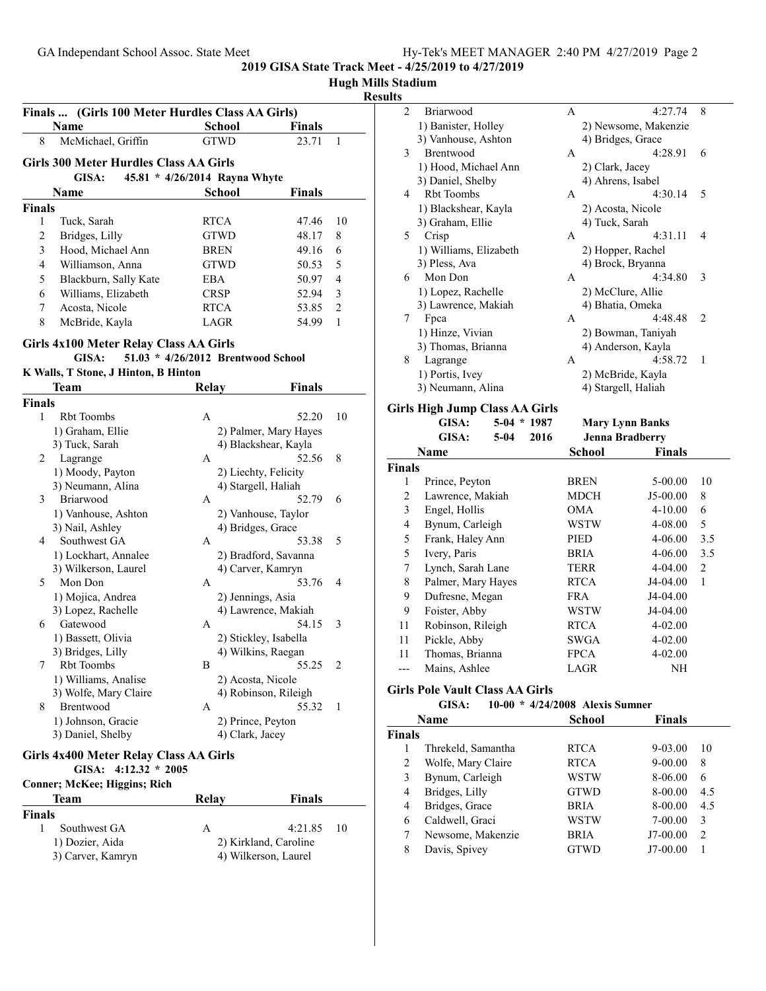# **Hugh Mills Stadium**

# **Results**

| Finals        | (Girls 100 Meter Hurdles Class AA Girls)      |                                    |                       |                |
|---------------|-----------------------------------------------|------------------------------------|-----------------------|----------------|
|               | Name                                          | <b>School</b>                      | Finals                |                |
| 8             | McMichael, Griffin                            | <b>GTWD</b>                        | 23.71                 | 1              |
|               | <b>Girls 300 Meter Hurdles Class AA Girls</b> |                                    |                       |                |
|               | GISA:                                         | 45.81 * 4/26/2014 Rayna Whyte      |                       |                |
|               | Name                                          | <b>School</b>                      | <b>Finals</b>         |                |
| <b>Finals</b> |                                               |                                    |                       |                |
| 1             | Tuck, Sarah                                   | RTCA                               | 47.46                 | 10             |
| 2             | Bridges, Lilly                                | <b>GTWD</b>                        | 48.17                 | 8              |
| 3             | Hood, Michael Ann                             | BREN                               | 49.16                 | 6              |
| 4             | Williamson, Anna                              | <b>GTWD</b>                        | 50.53                 | 5              |
| 5             | Blackburn, Sally Kate                         | EBA                                | 50.97                 | $\overline{4}$ |
| 6             | Williams, Elizabeth                           | <b>CRSP</b>                        | 52.94                 | 3              |
| 7             | Acosta, Nicole                                | <b>RTCA</b>                        | 53.85                 | $\overline{2}$ |
| 8             | McBride, Kayla                                | LAGR                               | 54.99                 | 1              |
|               | <b>Girls 4x100 Meter Relay Class AA Girls</b> |                                    |                       |                |
|               | GISA:                                         | 51.03 * 4/26/2012 Brentwood School |                       |                |
|               | K Walls, T Stone, J Hinton, B Hinton          |                                    |                       |                |
|               | Team                                          | Relay                              | <b>Finals</b>         |                |
| <b>Finals</b> |                                               |                                    |                       |                |
| 1             | <b>Rbt Toombs</b>                             | A                                  | 52.20                 | 10             |
|               | 1) Graham, Ellie                              |                                    | 2) Palmer, Mary Hayes |                |
|               | 3) Tuck, Sarah                                | 4) Blackshear, Kayla               |                       |                |
| 2             | Lagrange                                      | A                                  | 52.56                 | 8              |
|               | 1) Moody, Payton                              | 2) Liechty, Felicity               |                       |                |
|               | 3) Neumann, Alina                             | 4) Stargell, Haliah                |                       |                |
| 3             | Briarwood                                     | A                                  | 52.79                 | 6              |
|               | 1) Vanhouse, Ashton                           | 2) Vanhouse, Taylor                |                       |                |
|               | 3) Nail, Ashley                               | 4) Bridges, Grace                  |                       |                |
| 4             | Southwest GA                                  | A                                  | 53.38                 | 5              |
|               | 1) Lockhart, Annalee                          |                                    | 2) Bradford, Savanna  |                |
|               | 3) Wilkerson, Laurel                          | 4) Carver, Kamryn                  |                       |                |
| 5             | Mon Don                                       | A                                  | 53.76                 | 4              |
|               | 1) Mojica, Andrea                             | 2) Jennings, Asia                  |                       |                |
|               | 3) Lopez, Rachelle                            |                                    | 4) Lawrence, Makiah   |                |
| 6             | Gatewood                                      | A                                  | 54.15                 | 3              |
|               | 1) Bassett, Olivia                            | 2) Stickley, Isabella              |                       |                |
|               | 3) Bridges, Lilly                             | 4) Wilkins, Raegan                 |                       |                |
| 7             | Rbt Toombs                                    | В                                  | 55.25                 | $\overline{c}$ |
|               | 1) Williams, Analise                          | 2) Acosta, Nicole                  |                       |                |
|               | 3) Wolfe, Mary Claire                         | 4) Robinson, Rileigh               |                       |                |
| 8             | Brentwood                                     | A                                  | 55.32                 | 1              |
|               | 1) Johnson, Gracie<br>3) Daniel, Shelby       | 2) Prince, Peyton                  |                       |                |
|               |                                               | 4) Clark, Jacey                    |                       |                |
|               | <b>Girls 4x400 Meter Relay Class AA Girls</b> |                                    |                       |                |
|               | GISA: $4:12.32 * 2005$                        |                                    |                       |                |
|               |                                               |                                    |                       |                |

| Conner; McKee; Higgins; Rich         |       |                                               |
|--------------------------------------|-------|-----------------------------------------------|
| Team                                 | Relav | <b>Finals</b>                                 |
| <b>Finals</b>                        |       |                                               |
| Southwest GA                         | А     | $4:21.85$ 10                                  |
| 1) Dozier, Aida<br>3) Carver, Kamryn |       | 2) Kirkland, Caroline<br>4) Wilkerson, Laurel |

| ,              |                        |   |                      |   |
|----------------|------------------------|---|----------------------|---|
| $\overline{c}$ | Briarwood              | A | 4:27.74              | 8 |
|                | 1) Banister, Holley    |   | 2) Newsome, Makenzie |   |
|                | 3) Vanhouse, Ashton    |   | 4) Bridges, Grace    |   |
| 3              | <b>Brentwood</b>       | A | 4:28.91              | 6 |
|                | 1) Hood, Michael Ann   |   | 2) Clark, Jacey      |   |
|                | 3) Daniel, Shelby      |   | 4) Ahrens, Isabel    |   |
| 4              | Rbt Toombs             | A | 4:30.14              | 5 |
|                | 1) Blackshear, Kayla   |   | 2) Acosta, Nicole    |   |
|                | 3) Graham, Ellie       |   | 4) Tuck, Sarah       |   |
| 5              | Crisp                  | A | 4:31.11              | 4 |
|                | 1) Williams, Elizabeth |   | 2) Hopper, Rachel    |   |
|                | 3) Pless, Ava          |   | 4) Brock, Bryanna    |   |
| 6              | Mon Don                | A | 4:34.80              | 3 |
|                | 1) Lopez, Rachelle     |   | 2) McClure, Allie    |   |
|                | 3) Lawrence, Makiah    |   | 4) Bhatia, Omeka     |   |
| 7              | Fpca                   | A | 4:48.48              | 2 |
|                | 1) Hinze, Vivian       |   | 2) Bowman, Taniyah   |   |
|                | 3) Thomas, Brianna     |   | 4) Anderson, Kayla   |   |
| 8              | Lagrange               | A | 4:58.72              | 1 |
|                | 1) Portis, Ivey        |   | 2) McBride, Kayla    |   |
|                | 3) Neumann, Alina      |   | 4) Stargell, Haliah  |   |
|                |                        |   |                      |   |

# **Girls High Jump Class AA Girls**

|                | -                  |                |             |                        |              |
|----------------|--------------------|----------------|-------------|------------------------|--------------|
|                | GISA:              | $5-04$ * 1987  |             | <b>Mary Lynn Banks</b> |              |
|                | GISA:              | 2016<br>$5-04$ |             | <b>Jenna Bradberry</b> |              |
|                | Name               |                | School      | <b>Finals</b>          |              |
| Finals         |                    |                |             |                        |              |
| 1              | Prince, Peyton     |                | <b>BREN</b> | 5-00.00                | 10           |
| $\overline{c}$ | Lawrence, Makiah   |                | MDCH        | $J5-00.00$             | 8            |
| 3              | Engel, Hollis      |                | <b>OMA</b>  | 4-10.00                | 6            |
| 4              | Bynum, Carleigh    |                | WSTW        | 4-08.00                | 5            |
| 5              | Frank, Haley Ann   |                | PIED        | 4-06.00                | 3.5          |
| 5              | Ivery, Paris       |                | <b>BRIA</b> | 4-06.00                | 3.5          |
| 7              | Lynch, Sarah Lane  |                | TERR        | 4-04.00                | 2            |
| 8              | Palmer, Mary Hayes |                | <b>RTCA</b> | J4-04.00               | $\mathbf{1}$ |
| 9              | Dufresne, Megan    |                | <b>FRA</b>  | J4-04.00               |              |
| 9              | Foister, Abby      |                | WSTW        | J4-04.00               |              |
| 11             | Robinson, Rileigh  |                | <b>RTCA</b> | 4-02.00                |              |
| 11             | Pickle, Abby       |                | SWGA        | 4-02.00                |              |
| 11             | Thomas, Brianna    |                | <b>FPCA</b> | 4-02.00                |              |
|                | Mains, Ashlee      |                | LAGR        | NΗ                     |              |
|                |                    |                |             |                        |              |

# **Girls Pole Vault Class AA Girls**

| $10-00 * 4/24/2008$ Alexis Sumner<br>GISA: |  |
|--------------------------------------------|--|
|--------------------------------------------|--|

|               | Name               | <b>School</b> | <b>Finals</b> |               |
|---------------|--------------------|---------------|---------------|---------------|
| <b>Finals</b> |                    |               |               |               |
|               | Threkeld, Samantha | <b>RTCA</b>   | $9 - 03.00$   | 10            |
| 2             | Wolfe, Mary Claire | <b>RTCA</b>   | $9 - 00.00$   | 8             |
| 3             | Bynum, Carleigh    | WSTW          | 8-06.00       | 6             |
| 4             | Bridges, Lilly     | <b>GTWD</b>   | 8-00.00       | 4.5           |
| 4             | Bridges, Grace     | <b>BRIA</b>   | 8-00.00       | 4.5           |
| 6             | Caldwell, Graci    | WSTW          | $7 - 00.00$   | 3             |
|               | Newsome, Makenzie  | <b>BRIA</b>   | J7-00.00      | $\mathcal{P}$ |
| 8             | Davis, Spivey      | GTWD          | J7-00.00      |               |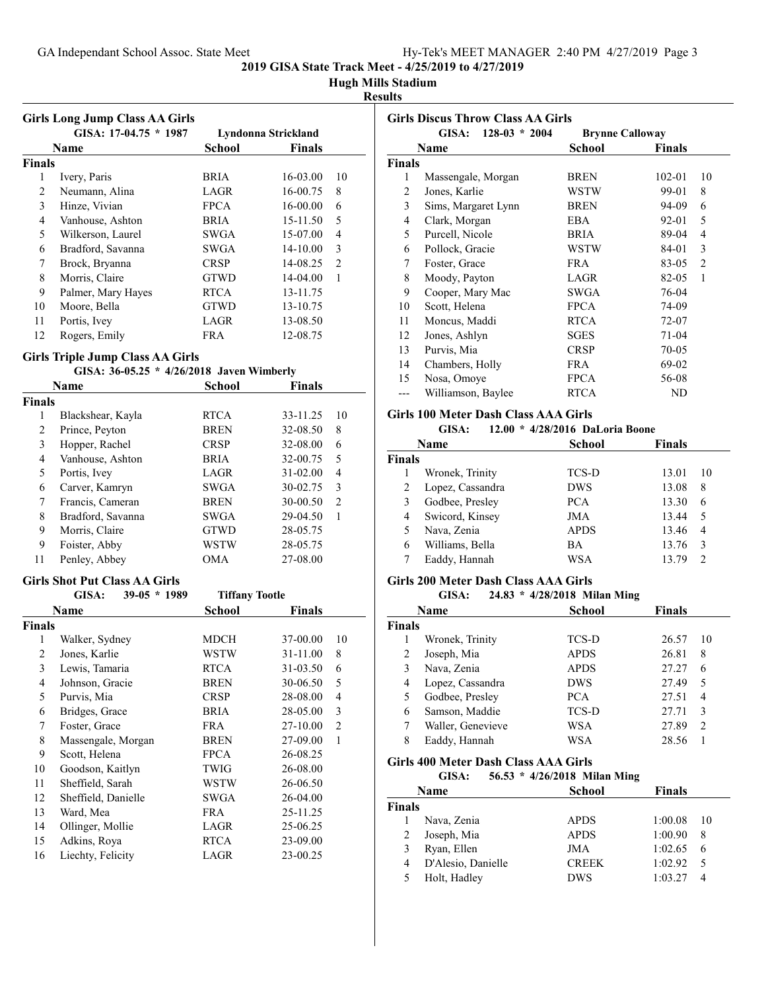# **Hugh Mills Stadium**

#### **Results**

|               | <b>Girls Long Jump Class AA Girls</b><br>GISA: 17-04.75 * 1987 |             | Lyndonna Strickland |                |
|---------------|----------------------------------------------------------------|-------------|---------------------|----------------|
|               | <b>Name</b>                                                    | School      | <b>Finals</b>       |                |
| <b>Finals</b> |                                                                |             |                     |                |
| 1             | Ivery, Paris                                                   | <b>BRIA</b> | 16-03.00            | 10             |
| 2             | Neumann, Alina                                                 | LAGR        | 16-00.75            | 8              |
| 3             | Hinze, Vivian                                                  | <b>FPCA</b> | 16-00.00            | 6              |
| 4             | Vanhouse, Ashton                                               | <b>BRIA</b> | 15-11.50            | 5              |
| 5             | Wilkerson, Laurel                                              | SWGA        | 15-07.00            | 4              |
| 6             | Bradford, Savanna                                              | SWGA        | $14 - 10.00$        | 3              |
| 7             | Brock, Bryanna                                                 | <b>CRSP</b> | 14-08.25            | $\mathfrak{D}$ |
| 8             | Morris, Claire                                                 | <b>GTWD</b> | 14-04.00            | 1              |
| 9             | Palmer, Mary Hayes                                             | <b>RTCA</b> | 13-11.75            |                |
| 10            | Moore, Bella                                                   | <b>GTWD</b> | 13-10.75            |                |
| 11            | Portis, Ivey                                                   | LAGR        | 13-08.50            |                |
| 12            | Rogers, Emily                                                  | FR A        | 12-08.75            |                |

#### **Girls Triple Jump Class AA Girls**

|               | GISA: 36-05.25 * 4/26/2018 Javen Wimberly |               |          |                |
|---------------|-------------------------------------------|---------------|----------|----------------|
|               | Name                                      | <b>School</b> | Finals   |                |
| <b>Finals</b> |                                           |               |          |                |
| 1             | Blackshear, Kayla                         | <b>RTCA</b>   | 33-11.25 | 10             |
| 2             | Prince, Peyton                            | <b>BREN</b>   | 32-08.50 | 8              |
| 3             | Hopper, Rachel                            | <b>CRSP</b>   | 32-08.00 | 6              |
| 4             | Vanhouse, Ashton                          | <b>BRIA</b>   | 32-00.75 | 5              |
| 5             | Portis, Ivey                              | LAGR          | 31-02.00 | 4              |
| 6             | Carver, Kamryn                            | <b>SWGA</b>   | 30-02.75 | 3              |
| 7             | Francis, Cameran                          | <b>BREN</b>   | 30-00.50 | $\overline{2}$ |
| 8             | Bradford, Savanna                         | <b>SWGA</b>   | 29-04.50 | 1              |
| 9             | Morris, Claire                            | <b>GTWD</b>   | 28-05.75 |                |
| 9             | Foister, Abby                             | WSTW          | 28-05.75 |                |
| 11            | Penley, Abbey                             | OMA           | 27-08.00 |                |

#### **Girls Shot Put Class AA Girls**

| GISA:          |                                                                                                                                                                                   |               |                       |
|----------------|-----------------------------------------------------------------------------------------------------------------------------------------------------------------------------------|---------------|-----------------------|
| Name           | School                                                                                                                                                                            | <b>Finals</b> |                       |
| <b>Finals</b>  |                                                                                                                                                                                   |               |                       |
|                | MDCH                                                                                                                                                                              | 37-00.00      | 10                    |
| Jones, Karlie  | <b>WSTW</b>                                                                                                                                                                       | 31-11.00      | 8                     |
| Lewis, Tamaria | <b>RTCA</b>                                                                                                                                                                       | 31-03.50      | 6                     |
|                | <b>BREN</b>                                                                                                                                                                       | 30-06.50      | 5                     |
| Purvis, Mia    | <b>CRSP</b>                                                                                                                                                                       | 28-08.00      | 4                     |
| Bridges, Grace | <b>BRIA</b>                                                                                                                                                                       | 28-05.00      | 3                     |
| Foster, Grace  | <b>FRA</b>                                                                                                                                                                        | 27-10.00      | $\overline{2}$        |
|                | BREN                                                                                                                                                                              | 27-09.00      | 1                     |
| Scott, Helena  | <b>FPCA</b>                                                                                                                                                                       | 26-08.25      |                       |
|                | TWIG                                                                                                                                                                              | 26-08.00      |                       |
|                | WSTW                                                                                                                                                                              | 26-06.50      |                       |
|                | SWGA                                                                                                                                                                              | 26-04.00      |                       |
| Ward, Mea      | <b>FRA</b>                                                                                                                                                                        | 25-11.25      |                       |
|                | LAGR                                                                                                                                                                              | 25-06.25      |                       |
| Adkins, Roya   | <b>RTCA</b>                                                                                                                                                                       | 23-09.00      |                       |
|                | LAGR                                                                                                                                                                              | 23-00.25      |                       |
|                | $39-05 * 1989$<br>Walker, Sydney<br>Johnson, Gracie<br>Massengale, Morgan<br>Goodson, Kaitlyn<br>Sheffield, Sarah<br>Sheffield, Danielle<br>Ollinger, Mollie<br>Liechty, Felicity |               | <b>Tiffany Tootle</b> |

|                | GISA:<br>$128-03 * 2004$ |             |                        | <b>Girls Discus Throw Class AA Girls</b> |  |  |  |  |
|----------------|--------------------------|-------------|------------------------|------------------------------------------|--|--|--|--|
|                |                          |             | <b>Brynne Calloway</b> |                                          |  |  |  |  |
|                | Name                     | School      | <b>Finals</b>          |                                          |  |  |  |  |
| Finals         |                          |             |                        |                                          |  |  |  |  |
| 1              | Massengale, Morgan       | <b>BREN</b> | $102 - 01$             | 10                                       |  |  |  |  |
| $\overline{c}$ | Jones, Karlie            | WSTW        | 99-01                  | 8                                        |  |  |  |  |
| 3              | Sims, Margaret Lynn      | <b>BREN</b> | 94-09                  | 6                                        |  |  |  |  |
| 4              | Clark, Morgan            | <b>EBA</b>  | 92-01                  | 5                                        |  |  |  |  |
| 5              | Purcell, Nicole          | <b>BRIA</b> | 89-04                  | 4                                        |  |  |  |  |
| 6              | Pollock, Gracie          | WSTW        | 84-01                  | 3                                        |  |  |  |  |
| 7              | Foster, Grace            | <b>FRA</b>  | 83-05                  | $\overline{c}$                           |  |  |  |  |
| 8              | Moody, Payton            | LAGR        | 82-05                  | 1                                        |  |  |  |  |
| 9              | Cooper, Mary Mac         | SWGA        | 76-04                  |                                          |  |  |  |  |
| 10             | Scott, Helena            | <b>FPCA</b> | 74-09                  |                                          |  |  |  |  |
| 11             | Moncus, Maddi            | <b>RTCA</b> | 72-07                  |                                          |  |  |  |  |
| 12             | Jones, Ashlyn            | SGES        | $71-04$                |                                          |  |  |  |  |
| 13             | Purvis, Mia              | <b>CRSP</b> | 70-05                  |                                          |  |  |  |  |
| 14             | Chambers, Holly          | <b>FRA</b>  | 69-02                  |                                          |  |  |  |  |
| 15             | Nosa, Omoye              | <b>FPCA</b> | 56-08                  |                                          |  |  |  |  |
|                | Williamson, Baylee       | <b>RTCA</b> | ND                     |                                          |  |  |  |  |

# **Girls 100 Meter Dash Class AAA Girls**

# **GISA:** 12.00 \* 4/28/2016 DaLoria Boone

|        | Name             | <b>School</b> | <b>Finals</b> |  |
|--------|------------------|---------------|---------------|--|
| Finals |                  |               |               |  |
|        | Wronek, Trinity  | TCS-D         | 13.01<br>10   |  |
| 2      | Lopez, Cassandra | <b>DWS</b>    | 13.08<br>8    |  |
| 3      | Godbee, Presley  | <b>PCA</b>    | 13.30<br>6    |  |
| 4      | Swicord, Kinsey  | JMA           | 13.44<br>5    |  |
|        | Nava, Zenia      | <b>APDS</b>   | 13.46<br>4    |  |
| 6      | Williams, Bella  | ВA            | 13.76<br>3    |  |
|        | Eaddy, Hannah    | WSA           | 13.79<br>っ    |  |
|        |                  |               |               |  |

# **Girls 200 Meter Dash Class AAA Girls**

|               | GISA:             | 24.83 * 4/28/2018 Milan Ming |               |    |
|---------------|-------------------|------------------------------|---------------|----|
|               | Name              | School                       | <b>Finals</b> |    |
| <b>Finals</b> |                   |                              |               |    |
|               | Wronek, Trinity   | TCS-D                        | 26.57         | 10 |
| 2             | Joseph, Mia       | <b>APDS</b>                  | 26.81         | 8  |
| 3             | Nava, Zenia       | <b>APDS</b>                  | 27.27         | 6  |
| 4             | Lopez, Cassandra  | <b>DWS</b>                   | 27.49         | 5  |
| 5             | Godbee, Presley   | PCA.                         | 27.51         | 4  |
| 6             | Samson, Maddie    | TCS-D                        | 27.71         | 3  |
| 7             | Waller, Genevieve | WSA                          | 27.89         | 2  |
| 8             | Eaddy, Hannah     | WSA                          | 28.56         |    |

# **Girls 400 Meter Dash Class AAA Girls**

|               | GISA:              | 56.53 * 4/26/2018 Milan Ming |               |    |
|---------------|--------------------|------------------------------|---------------|----|
|               | <b>Name</b>        | School                       | <b>Finals</b> |    |
| <b>Finals</b> |                    |                              |               |    |
|               | Nava, Zenia        | <b>APDS</b>                  | 1:00.08       | 10 |
| 2             | Joseph, Mia        | <b>APDS</b>                  | 1:00.90       | 8  |
| 3             | Ryan, Ellen        | JMA                          | 1:02.65       | 6  |
| 4             | D'Alesio, Danielle | <b>CREEK</b>                 | 1:02.92       | 5  |
| 5             | Holt, Hadley       | <b>DWS</b>                   | 1:03.27       |    |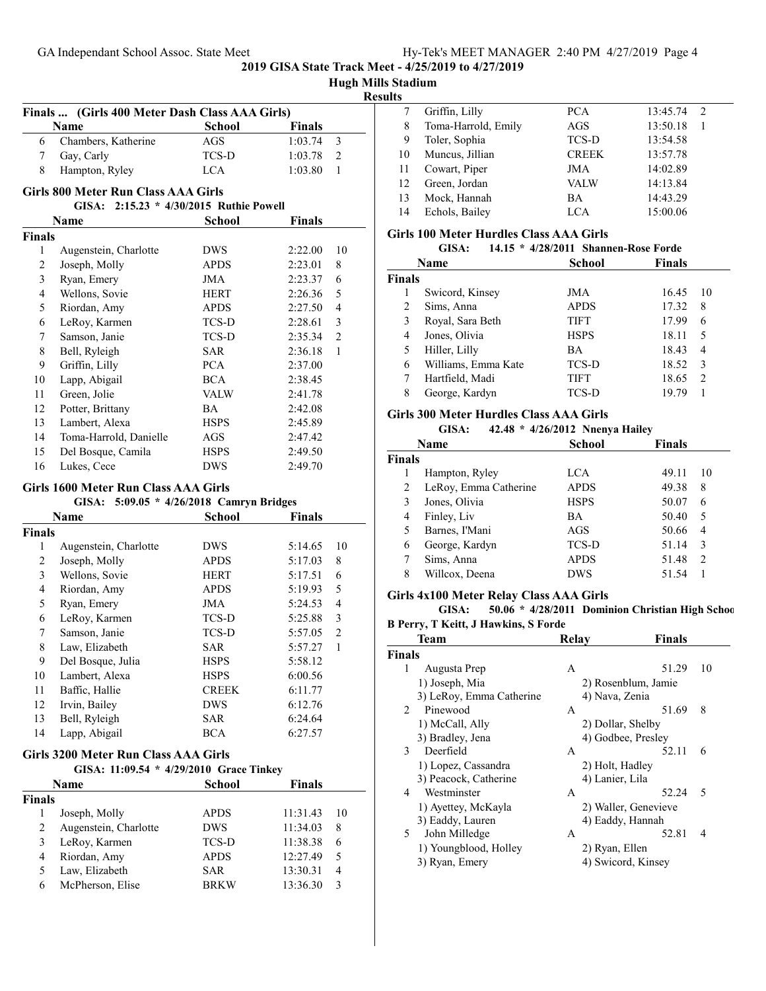|  |  | Hugh Mills Stadium |
|--|--|--------------------|
|--|--|--------------------|

#### **Results**

|    | Name                | <b>School</b> | <b>Finals</b> |               |
|----|---------------------|---------------|---------------|---------------|
| 6. | Chambers, Katherine | AGS           | 1:03.74       | $\mathcal{E}$ |
|    | Gay, Carly          | TCS-D         | 1:03.78       | 2             |
| 8  | Hampton, Ryley      | LCA.          | 1:03.80       |               |

|               | GISA:                  | $2:15.23 * 4/30/2015$ Ruthie Powell |         |                |
|---------------|------------------------|-------------------------------------|---------|----------------|
|               | Name                   | <b>School</b>                       | Finals  |                |
| <b>Finals</b> |                        |                                     |         |                |
| 1             | Augenstein, Charlotte  | DWS                                 | 2:22.00 | 10             |
| 2             | Joseph, Molly          | <b>APDS</b>                         | 2:23.01 | 8              |
| 3             | Ryan, Emery            | JMA                                 | 2:23.37 | 6              |
| 4             | Wellons, Sovie         | <b>HERT</b>                         | 2:26.36 | 5              |
| 5             | Riordan, Amy           | <b>APDS</b>                         | 2:27.50 | 4              |
| 6             | LeRoy, Karmen          | TCS-D                               | 2:28.61 | 3              |
| 7             | Samson, Janie          | TCS-D                               | 2:35.34 | $\overline{2}$ |
| 8             | Bell, Ryleigh          | <b>SAR</b>                          | 2:36.18 | 1              |
| 9             | Griffin, Lilly         | <b>PCA</b>                          | 2:37.00 |                |
| 10            | Lapp, Abigail          | <b>BCA</b>                          | 2:38.45 |                |
| 11            | Green, Jolie           | <b>VALW</b>                         | 2:41.78 |                |
| 12            | Potter, Brittany       | ВA                                  | 2:42.08 |                |
| 13            | Lambert, Alexa         | <b>HSPS</b>                         | 2:45.89 |                |
| 14            | Toma-Harrold, Danielle | AGS                                 | 2:47.42 |                |
| 15            | Del Bosque, Camila     | <b>HSPS</b>                         | 2:49.50 |                |
| 16            | Lukes, Cece            | <b>DWS</b>                          | 2:49.70 |                |

#### **Girls 1600 Meter Run Class AAA Girls**

#### **GISA: 5:09.05 \* 4/26/2018 Camryn Bridges**

|        | Name                  | <b>School</b> | <b>Finals</b> |                |
|--------|-----------------------|---------------|---------------|----------------|
| Finals |                       |               |               |                |
| 1      | Augenstein, Charlotte | DWS           | 5:14.65       | 10             |
| 2      | Joseph, Molly         | <b>APDS</b>   | 5:17.03       | 8              |
| 3      | Wellons, Sovie        | <b>HERT</b>   | 5:17.51       | 6              |
| 4      | Riordan, Amy          | <b>APDS</b>   | 5:19.93       | 5              |
| 5      | Ryan, Emery           | JMA           | 5:24.53       | $\overline{4}$ |
| 6      | LeRoy, Karmen         | TCS-D         | 5:25.88       | 3              |
| 7      | Samson, Janie         | <b>TCS-D</b>  | 5:57.05       | 2              |
| 8      | Law, Elizabeth        | SAR           | 5:57.27       | 1              |
| 9      | Del Bosque, Julia     | <b>HSPS</b>   | 5:58.12       |                |
| 10     | Lambert, Alexa        | <b>HSPS</b>   | 6:00.56       |                |
| 11     | Baffic, Hallie        | <b>CREEK</b>  | 6:11.77       |                |
| 12     | Irvin, Bailey         | <b>DWS</b>    | 6:12.76       |                |
| 13     | Bell, Ryleigh         | <b>SAR</b>    | 6:24.64       |                |
| 14     | Lapp, Abigail         | <b>BCA</b>    | 6:27.57       |                |

#### **Girls 3200 Meter Run Class AAA Girls**

**GISA: 11:09.54 \* Grace Tinkey 4/29/2010**

| Name          |                       | School       | <b>Finals</b> |    |
|---------------|-----------------------|--------------|---------------|----|
| <b>Finals</b> |                       |              |               |    |
|               | Joseph, Molly         | <b>APDS</b>  | 11:31.43      | 10 |
|               | Augenstein, Charlotte | <b>DWS</b>   | 11:34.03      | 8  |
| 3.            | LeRoy, Karmen         | <b>TCS-D</b> | 11:38.38      | 6  |
| 4             | Riordan, Amy          | <b>APDS</b>  | 12:27.49      | 5  |
|               | Law, Elizabeth        | <b>SAR</b>   | 13:30.31      | 4  |
| 6             | McPherson, Elise      | <b>BRKW</b>  | 13:36.30      |    |

|    | Griffin, Lilly      | <b>PCA</b>   | 13:45.74<br>2 |
|----|---------------------|--------------|---------------|
| 8  | Toma-Harrold, Emily | AGS          | 13:50.18      |
| 9  | Toler, Sophia       | TCS-D        | 13:54.58      |
| 10 | Muncus, Jillian     | <b>CREEK</b> | 13:57.78      |
| 11 | Cowart, Piper       | JMA          | 14:02.89      |
| 12 | Green, Jordan       | VALW         | 14:13.84      |
| 13 | Mock, Hannah        | <b>BA</b>    | 14:43.29      |
| 14 | Echols, Bailey      | LCA.         | 15:00.06      |

#### **Girls 100 Meter Hurdles Class AAA Girls**

|        | GISA:               | 14.15 * 4/28/2011 Shannen-Rose Forde |           |             |               |                |  |
|--------|---------------------|--------------------------------------|-----------|-------------|---------------|----------------|--|
|        | <b>Name</b>         |                                      |           | School      | <b>Finals</b> |                |  |
| Finals |                     |                                      |           |             |               |                |  |
|        | Swicord, Kinsey     |                                      |           | JMA         | 16.45         | 10             |  |
| 2      | Sims, Anna          |                                      |           | <b>APDS</b> | 17.32         | 8              |  |
| 3      | Royal, Sara Beth    |                                      |           | <b>TIFT</b> | 17.99         | 6              |  |
| 4      | Jones, Olivia       |                                      |           | <b>HSPS</b> | 18.11         | 5              |  |
| 5      | Hiller, Lilly       |                                      | <b>BA</b> |             | 18.43         | 4              |  |
| 6      | Williams, Emma Kate |                                      |           | TCS-D       | 18.52         | 3              |  |
|        | Hartfield, Madi     |                                      |           | <b>TIFT</b> | 18.65         | $\mathfrak{D}$ |  |
| 8      | George, Kardyn      |                                      |           | TCS-D       | 19.79         |                |  |
|        |                     |                                      |           |             |               |                |  |

# **Girls 300 Meter Hurdles Class AAA Girls**

| GISA: |  |  | 42.48 * 4/26/2012 Nnenya Hailey |
|-------|--|--|---------------------------------|
|-------|--|--|---------------------------------|

|               | ----<br>              | $1/20/2012$ . Then $\mu$ many |               |    |
|---------------|-----------------------|-------------------------------|---------------|----|
|               | Name                  | School                        | <b>Finals</b> |    |
| <b>Finals</b> |                       |                               |               |    |
|               | Hampton, Ryley        | LCA                           | 49.11         | 10 |
| 2             | LeRoy, Emma Catherine | <b>APDS</b>                   | 49.38         | 8  |
| 3             | Jones, Olivia         | <b>HSPS</b>                   | 50.07         | 6  |
| 4             | Finley, Liv           | <b>BA</b>                     | 50.40         | 5  |
| 5             | Barnes, I'Mani        | AGS                           | 50.66         | 4  |
| 6             | George, Kardyn        | TCS-D                         | 51.14         | 3  |
| 7             | Sims, Anna            | <b>APDS</b>                   | 51.48         | 2  |
| 8             | Willcox, Deena        | <b>DWS</b>                    | 51.54         |    |
|               |                       |                               |               |    |

# **Girls 4x100 Meter Relay Class AAA Girls**

**GISA: 50.06 \* 4/28/2011 Dominion Christian High School**

#### **B Perry, T Keitt, J Hawkins, S Forde**

|                | Team                     | Relav             | Finals               |                          |
|----------------|--------------------------|-------------------|----------------------|--------------------------|
| <b>Finals</b>  |                          |                   |                      |                          |
| 1              | Augusta Prep             | A                 | 51.29                | 10                       |
|                | 1) Joseph, Mia           |                   | 2) Rosenblum, Jamie  |                          |
|                | 3) LeRoy, Emma Catherine | 4) Nava, Zenia    |                      |                          |
| $\mathfrak{D}$ | Pinewood                 | A                 | 51.69                | 8                        |
|                | 1) McCall, Ally          | 2) Dollar, Shelby |                      |                          |
|                | 3) Bradley, Jena         |                   | 4) Godbee, Presley   |                          |
| 3              | Deerfield                | A                 | 52.11                | 6                        |
|                | 1) Lopez, Cassandra      | 2) Holt, Hadley   |                      |                          |
|                | 3) Peacock, Catherine    | 4) Lanier, Lila   |                      |                          |
| 4              | Westminster              | A                 | 52.24                | $\overline{\mathcal{L}}$ |
|                | 1) Ayettey, McKayla      |                   | 2) Waller, Genevieve |                          |
|                | 3) Eaddy, Lauren         | 4) Eaddy, Hannah  |                      |                          |
| 5.             | John Milledge            | A                 | 52.81                | 4                        |
|                | 1) Youngblood, Holley    | 2) Ryan, Ellen    |                      |                          |
|                | 3) Ryan, Emery           |                   | 4) Swicord, Kinsey   |                          |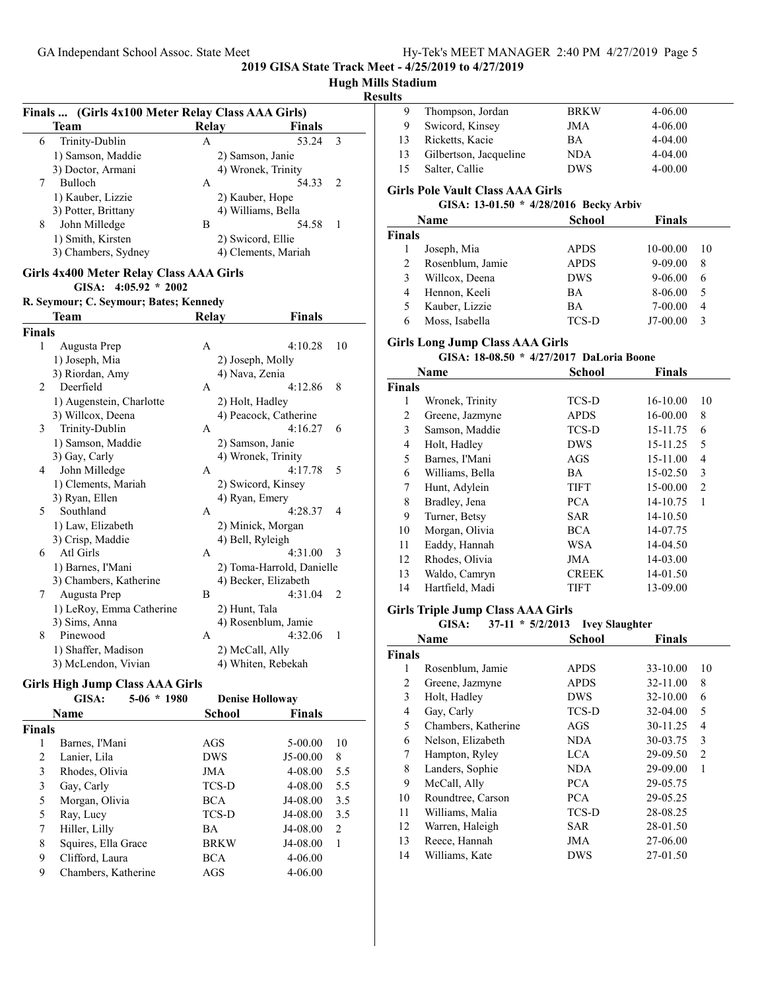# **Hugh Mills Stadium Results Finals ... (Girls 4x100 Meter Relay Class AAA Girls) Team Relay Finals** 6 Trinity-Dublin A 53.24 3 1) Samson, Maddie 2) Samson, Janie 3) Doctor, Armani 4) Wronek, Trinity 7 Bulloch A 54.33 2 1) Kauber, Lizzie 2) Kauber, Hope 3) Potter, Brittany 4) Williams, Bella 8 John Milledge B 54.58 1 1) Smith, Kirsten 2) Swicord, Ellie 3) Chambers, Sydney 4) Clements, Mariah **Girls 4x400 Meter Relay Class AAA Girls GISA: 4:05.92 \* 2002 R. Seymour; C. Seymour; Bates; Kennedy Team Relay Finals Finals** 1 Augusta Prep A 4:10.28 10 1) Joseph, Mia 2) Joseph, Molly 3) Riordan, Amy 4) Nava, Zenia 2 Deerfield A 4:12.86 8 1) Augenstein, Charlotte 2) Holt, Hadley 3) Willcox, Deena 4) Peacock, Catherine 3 Trinity-Dublin A 4:16.27 6 1) Samson, Maddie 2) Samson, Janie 3) Gay, Carly 4) Wronek, Trinity 4 John Milledge A 4:17.78 5 1) Clements, Mariah 2) Swicord, Kinsey 3) Ryan, Ellen 4) Ryan, Emery 5 Southland A 4:28.37 4 1) Law, Elizabeth 2) Minick, Morgan 3) Crisp, Maddie 4) Bell, Ryleigh 6 Atl Girls A 4:31.00 3 1) Barnes, I'Mani 2) Toma-Harrold, Danielle 3) Chambers, Katherine 4) Becker, Elizabeth 7 Augusta Prep B 4:31.04 2 1) LeRoy, Emma Catherine 2) Hunt, Tala 3) Sims, Anna 4) Rosenblum, Jamie 8 Pinewood A 4:32.06 1 1) Shaffer, Madison 2) McCall, Ally 3) McLendon, Vivian 4) Whiten, Rebekah **Girls High Jump Class AAA Girls** GISA: 5-06 \* 1980 Denise Holloway **Name School Finals Finals**

| nals |                     |             |             |                |
|------|---------------------|-------------|-------------|----------------|
|      | Barnes, I'Mani      | AGS         | 5-00.00     | 10             |
| 2    | Lanier, Lila        | <b>DWS</b>  | $J5-00.00$  | 8              |
| 3    | Rhodes, Olivia      | JMA         | 4-08.00     | 5.5            |
| 3    | Gay, Carly          | TCS-D       | 4-08.00     | 5.5            |
| 5    | Morgan, Olivia      | <b>BCA</b>  | J4-08.00    | 3.5            |
| 5    | Ray, Lucy           | TCS-D       | J4-08.00    | 3.5            |
| 7    | Hiller, Lilly       | BA          | J4-08.00    | $\overline{2}$ |
| 8    | Squires, Ella Grace | <b>BRKW</b> | J4-08.00    |                |
| 9    | Clifford, Laura     | <b>BCA</b>  | $4 - 06.00$ |                |
| 9    | Chambers, Katherine | AGS         | $4 - 06.00$ |                |
|      |                     |             |             |                |

| 9             | Thompson, Jordan                                                                  | <b>BRKW</b> | 4-06.00        |  |  |  |
|---------------|-----------------------------------------------------------------------------------|-------------|----------------|--|--|--|
| 9             | Swicord, Kinsey                                                                   | JMA         | 4-06.00        |  |  |  |
| 13            | Ricketts, Kacie                                                                   | ВA          | 4-04.00        |  |  |  |
| 13            | Gilbertson, Jacqueline                                                            | NDA.        | 4-04.00        |  |  |  |
| 15            | Salter, Callie                                                                    | <b>DWS</b>  | $4 - 00.00$    |  |  |  |
|               | <b>Girls Pole Vault Class AAA Girls</b><br>GISA: 13-01.50 * 4/28/2016 Becky Arbiv |             |                |  |  |  |
|               | <b>Name</b>                                                                       | School      | <b>Finals</b>  |  |  |  |
| <b>Finals</b> |                                                                                   |             |                |  |  |  |
| 1             | Joseph, Mia                                                                       | <b>APDS</b> | 10-00.00<br>10 |  |  |  |
| 2             | Rosenblum, Jamie                                                                  | <b>APDS</b> | 9-09.00<br>8   |  |  |  |
| 3             | Willcox. Deena                                                                    | DWS         | 9-06.00<br>6   |  |  |  |

4 Hennon, Keeli BA 8-06.00 5 5 Kauber, Lizzie BA 7-00.00 4

# 6 Moss, Isabella TCS-D J7-00.00 3

# **Girls Long Jump Class AAA Girls**

#### **GISA: 18-08.50 \* 4/27/2017 DaLoria Boone**

|        | Name            | <b>School</b> | <b>Finals</b> |                |
|--------|-----------------|---------------|---------------|----------------|
| Finals |                 |               |               |                |
| 1      | Wronek, Trinity | TCS-D         | $16-10.00$    | 10             |
| 2      | Greene, Jazmyne | <b>APDS</b>   | 16-00.00      | 8              |
| 3      | Samson, Maddie  | TCS-D         | 15-11.75      | 6              |
| 4      | Holt, Hadley    | <b>DWS</b>    | 15-11.25      | 5              |
| 5      | Barnes, I'Mani  | AGS           | 15-11.00      | 4              |
| 6      | Williams, Bella | ВA            | 15-02.50      | 3              |
| 7      | Hunt, Adylein   | <b>TIFT</b>   | $15-00.00$    | $\overline{2}$ |
| 8      | Bradley, Jena   | <b>PCA</b>    | 14-10.75      | 1              |
| 9      | Turner, Betsy   | SAR           | 14-10.50      |                |
| 10     | Morgan, Olivia  | BCA           | 14-07.75      |                |
| 11     | Eaddy, Hannah   | WSA           | 14-04.50      |                |
| 12     | Rhodes, Olivia  | JMA           | 14-03.00      |                |
| 13     | Waldo, Camryn   | <b>CREEK</b>  | 14-01.50      |                |
| 14     | Hartfield, Madi | TIFT          | 13-09.00      |                |
|        |                 |               |               |                |

### **Girls Triple Jump Class AAA Girls**

#### **GISA:** 37-11 \*  $\frac{5}{2}/2013$  Ivey Slaughter

|               | Name                | <b>School</b> | <b>Finals</b> |                |
|---------------|---------------------|---------------|---------------|----------------|
| <b>Finals</b> |                     |               |               |                |
| 1             | Rosenblum, Jamie    | <b>APDS</b>   | 33-10.00      | 10             |
| 2             | Greene, Jazmyne     | <b>APDS</b>   | 32-11.00      | 8              |
| 3             | Holt, Hadley        | <b>DWS</b>    | 32-10.00      | 6              |
| 4             | Gay, Carly          | <b>TCS-D</b>  | 32-04.00      | 5              |
| 5             | Chambers, Katherine | AGS           | 30-11.25      | 4              |
| 6             | Nelson, Elizabeth   | NDA.          | 30-03.75      | 3              |
| 7             | Hampton, Ryley      | LCA.          | 29-09.50      | $\overline{c}$ |
| 8             | Landers, Sophie     | NDA.          | 29-09.00      | 1              |
| 9             | McCall, Ally        | PCA.          | 29-05.75      |                |
| 10            | Roundtree, Carson   | <b>PCA</b>    | 29-05.25      |                |
| 11            | Williams, Malia     | TCS-D         | 28-08.25      |                |
| 12            | Warren, Haleigh     | SAR           | 28-01.50      |                |
| 13            | Reece, Hannah       | JMA           | 27-06.00      |                |
| 14            | Williams, Kate      | <b>DWS</b>    | 27-01.50      |                |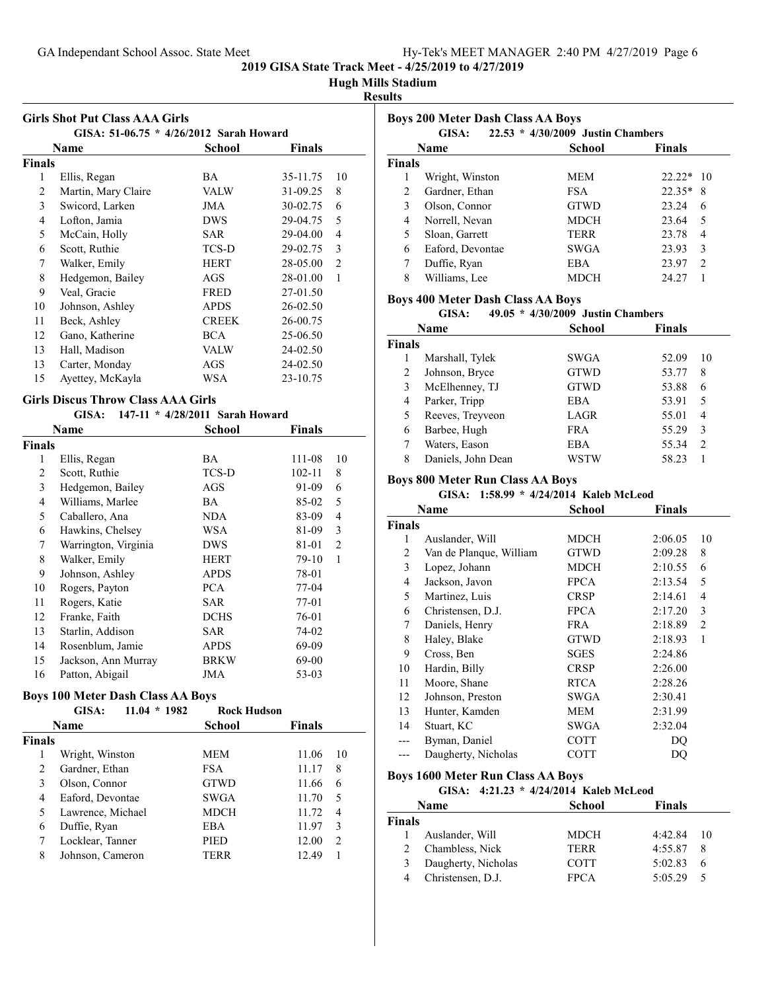#### **Hugh Mills Stadium**

#### **Results**

| <b>Girls Shot Put Class AAA Girls</b> |                                         |              |               |                |  |
|---------------------------------------|-----------------------------------------|--------------|---------------|----------------|--|
|                                       | GISA: 51-06.75 * 4/26/2012 Sarah Howard |              |               |                |  |
|                                       | Name                                    | School       | <b>Finals</b> |                |  |
| Finals                                |                                         |              |               |                |  |
| 1                                     | Ellis, Regan                            | BA.          | 35-11.75      | 10             |  |
| 2                                     | Martin, Mary Claire                     | VALW         | 31-09.25      | 8              |  |
| 3                                     | Swicord, Larken                         | JMA          | 30-02.75      | 6              |  |
| 4                                     | Lofton, Jamia                           | <b>DWS</b>   | 29-04.75      | 5              |  |
| 5                                     | McCain, Holly                           | SAR          | 29-04.00      | 4              |  |
| 6                                     | Scott, Ruthie                           | TCS-D        | 29-02.75      | 3              |  |
| 7                                     | Walker, Emily                           | <b>HERT</b>  | 28-05.00      | $\mathfrak{D}$ |  |
| 8                                     | Hedgemon, Bailey                        | AGS          | 28-01.00      | 1              |  |
| 9                                     | Veal, Gracie                            | <b>FRED</b>  | 27-01.50      |                |  |
| 10                                    | Johnson, Ashley                         | <b>APDS</b>  | 26-02.50      |                |  |
| 11                                    | Beck, Ashley                            | <b>CREEK</b> | 26-00.75      |                |  |
| 12                                    | Gano, Katherine                         | <b>BCA</b>   | 25-06.50      |                |  |
| 13                                    | Hall, Madison                           | VALW         | 24-02.50      |                |  |
| 13                                    | Carter, Monday                          | AGS          | 24-02.50      |                |  |
| 15                                    | Ayettey, McKayla                        | WSA          | 23-10.75      |                |  |

#### **Girls Discus Throw Class AAA Girls GISA: 147-11 \* SARAH HOWARDA & 1 H**

| GISA:<br>147-11 * 4/28/2011 Sarah Howard |                      |               |        |    |
|------------------------------------------|----------------------|---------------|--------|----|
| Name                                     |                      | <b>School</b> | Finals |    |
| <b>Finals</b>                            |                      |               |        |    |
| 1                                        | Ellis, Regan         | BA            | 111-08 | 10 |
| 2                                        | Scott, Ruthie        | TCS-D         | 102-11 | 8  |
| 3                                        | Hedgemon, Bailey     | AGS           | 91-09  | 6  |
| 4                                        | Williams, Marlee     | ВA            | 85-02  | 5  |
| 5                                        | Caballero, Ana       | NDA           | 83-09  | 4  |
| 6                                        | Hawkins, Chelsey     | WSA           | 81-09  | 3  |
| 7                                        | Warrington, Virginia | <b>DWS</b>    | 81-01  | 2  |
| 8                                        | Walker, Emily        | <b>HERT</b>   | 79-10  | 1  |
| 9                                        | Johnson, Ashley      | <b>APDS</b>   | 78-01  |    |
| 10                                       | Rogers, Payton       | <b>PCA</b>    | 77-04  |    |
| 11                                       | Rogers, Katie        | SAR           | 77-01  |    |
| 12                                       | Franke, Faith        | <b>DCHS</b>   | 76-01  |    |
| 13                                       | Starlin, Addison     | <b>SAR</b>    | 74-02  |    |
| 14                                       | Rosenblum, Jamie     | APDS          | 69-09  |    |
| 15                                       | Jackson, Ann Murray  | <b>BRKW</b>   | 69-00  |    |
| 16                                       | Patton, Abigail      | JMA           | 53-03  |    |

#### **Boys 100 Meter Dash Class AA Boys**

|               | GISA:             | 11.04<br>$*1982$ | <b>Rock Hudson</b> |               |               |
|---------------|-------------------|------------------|--------------------|---------------|---------------|
|               | Name              |                  | School             | <b>Finals</b> |               |
| <b>Finals</b> |                   |                  |                    |               |               |
|               | Wright, Winston   |                  | <b>MEM</b>         | 11.06         | 10            |
| 2             | Gardner, Ethan    |                  | <b>FSA</b>         | 11.17         | 8             |
| 3             | Olson, Connor     |                  | <b>GTWD</b>        | 11.66         | 6             |
| 4             | Eaford, Devontae  |                  | <b>SWGA</b>        | 11.70         | 5             |
| 5             | Lawrence, Michael |                  | <b>MDCH</b>        | 11.72         | 4             |
| 6             | Duffie, Ryan      |                  | EBA                | 11.97         | 3             |
| 7             | Locklear, Tanner  |                  | <b>PIED</b>        | 12.00         | $\mathcal{L}$ |
| 8             | Johnson, Cameron  |                  | TERR               | 12.49         |               |

| <b>Boys 200 Meter Dash Class AA Boys</b><br>22.53 * 4/30/2009 Justin Chambers<br>GISA: |                  |             |               |  |
|----------------------------------------------------------------------------------------|------------------|-------------|---------------|--|
|                                                                                        | <b>Name</b>      | School      | <b>Finals</b> |  |
| <b>Finals</b>                                                                          |                  |             |               |  |
| 1                                                                                      | Wright, Winston  | <b>MEM</b>  | $22.22*10$    |  |
| $\overline{c}$                                                                         | Gardner, Ethan   | <b>FSA</b>  | $22.35*$<br>8 |  |
| 3                                                                                      | Olson, Connor    | <b>GTWD</b> | 23.24<br>6    |  |
| 4                                                                                      | Norrell, Nevan   | <b>MDCH</b> | 23.64<br>5    |  |
| 5                                                                                      | Sloan, Garrett   | <b>TERR</b> | 23.78<br>4    |  |
| 6                                                                                      | Eaford, Devontae | SWGA        | 23.93<br>3    |  |
| 7                                                                                      | Duffie, Ryan     | EBA         | 23.97<br>2    |  |
| 8                                                                                      | Williams, Lee    | <b>MDCH</b> | 24.27         |  |

#### **Boys 400 Meter Dash Class AA Boys**

### **GISA:** 49.05 \* 4/30/2009 Justin Chambers

|               | Name               | School      | <b>Finals</b>          |
|---------------|--------------------|-------------|------------------------|
| <b>Finals</b> |                    |             |                        |
|               | Marshall, Tylek    | SWGA        | 52.09<br>10            |
| 2             | Johnson, Bryce     | <b>GTWD</b> | 53.77<br>8             |
| 3             | McElhenney, TJ     | <b>GTWD</b> | 53.88<br>6             |
| 4             | Parker, Tripp      | EBA         | 53.91<br>5             |
| 5             | Reeves, Treyveon   | LAGR        | 55.01<br>4             |
| 6             | Barbee, Hugh       | <b>FRA</b>  | 55.29<br>3             |
|               | Waters, Eason      | EBA         | 55.34<br>$\mathcal{D}$ |
| 8             | Daniels, John Dean | WSTW        | 58.23                  |

#### **Boys 800 Meter Run Class AA Boys**

### GISA: 1:58.99 \* 4/24/2014 Kaleb McLeod

|        | Name                    | <b>School</b> | <b>Finals</b> |                |
|--------|-------------------------|---------------|---------------|----------------|
| Finals |                         |               |               |                |
| 1      | Auslander, Will         | MDCH          | 2:06.05       | 10             |
| 2      | Van de Planque, William | <b>GTWD</b>   | 2:09.28       | 8              |
| 3      | Lopez, Johann           | MDCH          | 2:10.55       | 6              |
| 4      | Jackson, Javon          | <b>FPCA</b>   | 2:13.54       | 5              |
| 5      | Martinez, Luis          | <b>CRSP</b>   | 2:14.61       | 4              |
| 6      | Christensen, D.J.       | <b>FPCA</b>   | 2:17.20       | 3              |
| 7      | Daniels, Henry          | <b>FRA</b>    | 2:18.89       | $\overline{2}$ |
| 8      | Haley, Blake            | <b>GTWD</b>   | 2:18.93       | 1              |
| 9      | Cross, Ben              | SGES          | 2:24.86       |                |
| 10     | Hardin, Billy           | <b>CRSP</b>   | 2:26.00       |                |
| 11     | Moore, Shane            | <b>RTCA</b>   | 2:28.26       |                |
| 12     | Johnson, Preston        | SWGA          | 2:30.41       |                |
| 13     | Hunter, Kamden          | MEM           | 2:31.99       |                |
| 14     | Stuart, KC              | SWGA          | 2:32.04       |                |
|        | Byman, Daniel           | COTT          | DO            |                |
|        | Daugherty, Nicholas     | COTT          | DO            |                |

#### **Boys 1600 Meter Run Class AA Boys**

#### **GISA:** 4:21.23 \* 4/24/2014 Kaleb McLeod

|        | <b>Name</b>         | <b>School</b> | <b>Finals</b>  |  |
|--------|---------------------|---------------|----------------|--|
| Finals |                     |               |                |  |
|        | Auslander, Will     | <b>MDCH</b>   | 4:42.84<br>-10 |  |
|        | 2 Chambless, Nick   | <b>TERR</b>   | 4:55.87<br>8   |  |
|        | Daugherty, Nicholas | <b>COTT</b>   | 5:02.83<br>6   |  |
|        | Christensen, D.J.   | <b>FPCA</b>   | 5:05.29<br>5   |  |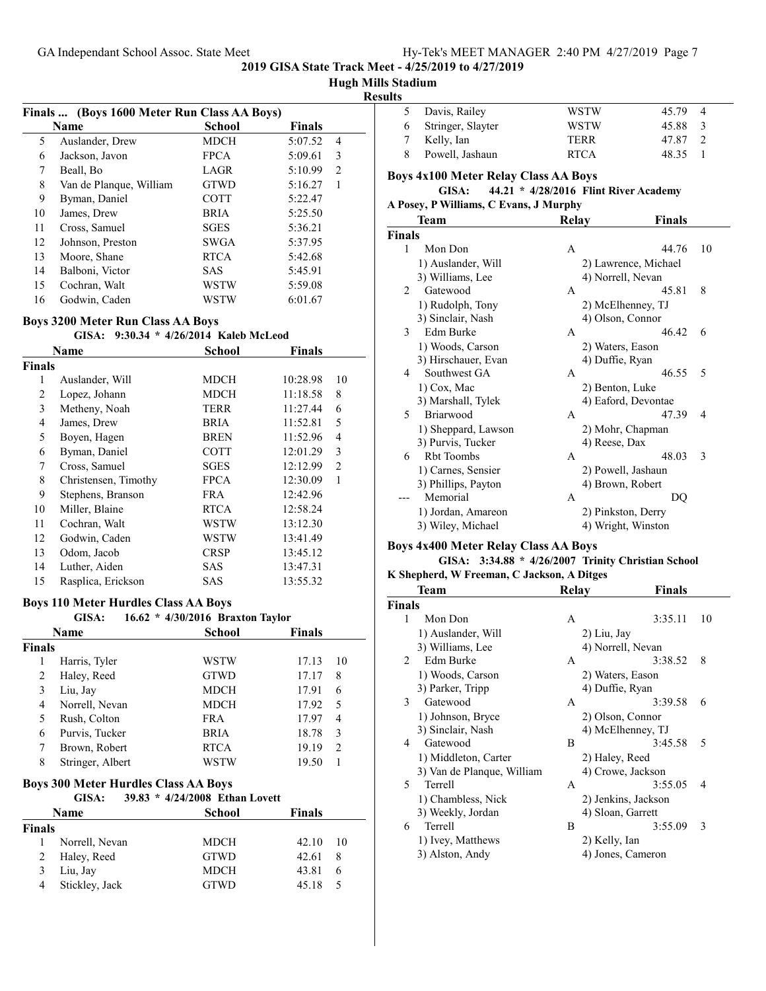# **Hugh Mills Stadium**

| Results |
|---------|
|---------|

|    | Finals  (Boys 1600 Meter Run Class AA Boys) |             |               |                |
|----|---------------------------------------------|-------------|---------------|----------------|
|    | Name                                        | School      | <b>Finals</b> |                |
| 5  | Auslander, Drew                             | MDCH        | 5:07.52       | $\overline{4}$ |
| 6  | Jackson, Javon                              | <b>FPCA</b> | 5:09.61       | 3              |
| 7  | Beall, Bo                                   | LAGR        | 5:10.99       | 2              |
| 8  | Van de Planque, William                     | <b>GTWD</b> | 5:16.27       | 1              |
| 9  | Byman, Daniel                               | <b>COTT</b> | 5:22.47       |                |
| 10 | James, Drew                                 | <b>BRIA</b> | 5:25.50       |                |
| 11 | Cross, Samuel                               | <b>SGES</b> | 5:36.21       |                |
| 12 | Johnson, Preston                            | <b>SWGA</b> | 5:37.95       |                |
| 13 | Moore, Shane                                | <b>RTCA</b> | 5:42.68       |                |
| 14 | Balboni, Victor                             | <b>SAS</b>  | 5:45.91       |                |
| 15 | Cochran, Walt                               | WSTW        | 5:59.08       |                |
| 16 | Godwin, Caden                               | WSTW        | 6:01.67       |                |

#### **Boys 3200 Meter Run Class AA Boys**

#### GISA: 9:30.34 \* 4/26/2014 Kaleb McLeod

|               | Name                 | School      | <b>Finals</b> |    |
|---------------|----------------------|-------------|---------------|----|
| <b>Finals</b> |                      |             |               |    |
| 1             | Auslander, Will      | MDCH        | 10:28.98      | 10 |
| 2             | Lopez, Johann        | MDCH        | 11:18.58      | 8  |
| 3             | Metheny, Noah        | <b>TERR</b> | 11:27.44      | 6  |
| 4             | James, Drew          | BRIA        | 11:52.81      | 5  |
| 5             | Boyen, Hagen         | BREN        | 11:52.96      | 4  |
| 6             | Byman, Daniel        | <b>COTT</b> | 12:01.29      | 3  |
| 7             | Cross, Samuel        | <b>SGES</b> | 12:12.99      | 2  |
| 8             | Christensen, Timothy | <b>FPCA</b> | 12:30.09      | 1  |
| 9             | Stephens, Branson    | FRA         | 12:42.96      |    |
| 10            | Miller, Blaine       | RTCA        | 12:58.24      |    |
| 11            | Cochran, Walt        | WSTW        | 13:12.30      |    |
| 12            | Godwin, Caden        | WSTW        | 13:41.49      |    |
| 13            | Odom, Jacob          | <b>CRSP</b> | 13:45.12      |    |
| 14            | Luther, Aiden        | <b>SAS</b>  | 13:47.31      |    |
| 15            | Rasplica, Erickson   | SAS         | 13:55.32      |    |

#### **Boys 110 Meter Hurdles Class AA Boys**

# **GISA:** 16.62 \* 4/30/2016 Braxton Taylor **Name School Finals Finals** 1 Harris, Tyler WSTW 17.13 10 2 Haley, Reed GTWD 17.17 8 3 Liu, Jay MDCH 17.91 6 4 Norrell, Nevan MDCH 17.92 5 5 Rush, Colton FRA 17.97 4 6 Purvis, Tucker BRIA 18.78 3 7 Brown, Robert RTCA 19.19 2 8 Stringer, Albert WSTW 19.50 1

# **Boys 300 Meter Hurdles Class AA Boys**

**GISA:** 39.83 \* 4/24/2008 Ethan Lovett

| Name          |                | School      | <b>Finals</b>            |  |
|---------------|----------------|-------------|--------------------------|--|
| <b>Finals</b> |                |             |                          |  |
|               | Norrell, Nevan | <b>MDCH</b> | 42.10<br>$\overline{10}$ |  |
|               | 2 Haley, Reed  | <b>GTWD</b> | 42.61<br>8               |  |
|               | Liu, Jay       | <b>MDCH</b> | 43.81<br>6               |  |
| 4             | Stickley, Jack | <b>GTWD</b> | 45.18                    |  |

| ults          |                                             |                                       |                      |                |
|---------------|---------------------------------------------|---------------------------------------|----------------------|----------------|
| 5             | Davis, Railey                               | <b>WSTW</b>                           | 45.79                | 4              |
| 6             | Stringer, Slayter                           | <b>WSTW</b>                           | 45.88                | 3              |
| 7             | Kelly, Ian                                  | TERR                                  | 47.87                | $\overline{c}$ |
| 8             | Powell, Jashaun                             | <b>RTCA</b>                           | 48.35                | 1              |
|               | <b>Boys 4x100 Meter Relay Class AA Boys</b> |                                       |                      |                |
|               | GISA:                                       | 44.21 * 4/28/2016 Flint River Academy |                      |                |
|               | A Posey, P Williams, C Evans, J Murphy      |                                       |                      |                |
|               | <b>Team</b>                                 | Relay                                 | <b>Finals</b>        |                |
| <b>Finals</b> |                                             |                                       |                      |                |
| 1             | Mon Don                                     | A                                     | 44.76                | 10             |
|               | 1) Auslander, Will                          |                                       | 2) Lawrence, Michael |                |
|               | 3) Williams, Lee                            | 4) Norrell, Nevan                     |                      |                |
| 2             | Gatewood                                    | A                                     | 45.81                | 8              |
|               | 1) Rudolph, Tony                            | 2) McElhenney, TJ                     |                      |                |
|               | 3) Sinclair, Nash                           | 4) Olson, Connor                      |                      |                |
| 3             | Edm Burke                                   | A                                     | 46.42                | 6              |
|               | 1) Woods, Carson                            | 2) Waters, Eason                      |                      |                |
|               | 3) Hirschauer, Evan                         | 4) Duffie, Ryan                       |                      |                |
| 4             | Southwest GA                                | A                                     | 46.55                | 5              |
|               | 1) Cox, Mac                                 | 2) Benton, Luke                       |                      |                |
|               | 3) Marshall, Tylek                          | 4) Eaford, Devontae                   |                      |                |
| 5             | Briarwood                                   | A                                     | 47.39                | 4              |
|               | 1) Sheppard, Lawson                         | 2) Mohr, Chapman                      |                      |                |
|               | 3) Purvis, Tucker                           | 4) Reese, Dax                         |                      |                |
| 6             | <b>Rbt Toombs</b>                           | A                                     | 48.03                | 3              |
|               | 1) Carnes, Sensier                          | 2) Powell, Jashaun                    |                      |                |
|               | 3) Phillips, Payton                         | 4) Brown, Robert                      |                      |                |
|               | Memorial                                    | A                                     | DQ                   |                |
|               | 1) Jordan, Amareon                          | 2) Pinkston, Derry                    |                      |                |
|               | 3) Wiley, Michael                           | 4) Wright, Winston                    |                      |                |

#### **Boys 4x400 Meter Relay Class AA Boys**

#### **GISA:** 3:34.88 \* 4/26/2007 Trinity Christian School

#### **K Shepherd, W Freeman, C Jackson, A Ditges**

|                | Team                       | Relay             | Finals              |    |
|----------------|----------------------------|-------------------|---------------------|----|
| <b>Finals</b>  |                            |                   |                     |    |
| 1              | Mon Don                    | А                 | 3:35.11             | 10 |
|                | 1) Auslander, Will         | 2) Liu, Jay       |                     |    |
|                | 3) Williams, Lee           | 4) Norrell, Nevan |                     |    |
| $\mathfrak{D}$ | Edm Burke                  | А                 | 3:38.52             | 8  |
|                | 1) Woods, Carson           | 2) Waters, Eason  |                     |    |
|                | 3) Parker, Tripp           | 4) Duffie, Ryan   |                     |    |
| 3              | Gatewood                   | A                 | 3:39.58             | 6  |
|                | 1) Johnson, Bryce          | 2) Olson, Connor  |                     |    |
|                | 3) Sinclair, Nash          |                   | 4) McElhenney, TJ   |    |
| 4              | Gatewood                   | B                 | 3:45.58             | 5  |
|                | 1) Middleton, Carter       | 2) Haley, Reed    |                     |    |
|                | 3) Van de Planque, William |                   | 4) Crowe, Jackson   |    |
| 5              | Terrell                    | A                 | 3:55.05             | 4  |
|                | 1) Chambless, Nick         |                   | 2) Jenkins, Jackson |    |
|                | 3) Weekly, Jordan          | 4) Sloan, Garrett |                     |    |
| 6              | Terrell                    | B                 | 3:55.09             | 3  |
|                | 1) Ivey, Matthews          | 2) Kelly, Ian     |                     |    |
|                | 3) Alston, Andy            |                   | 4) Jones, Cameron   |    |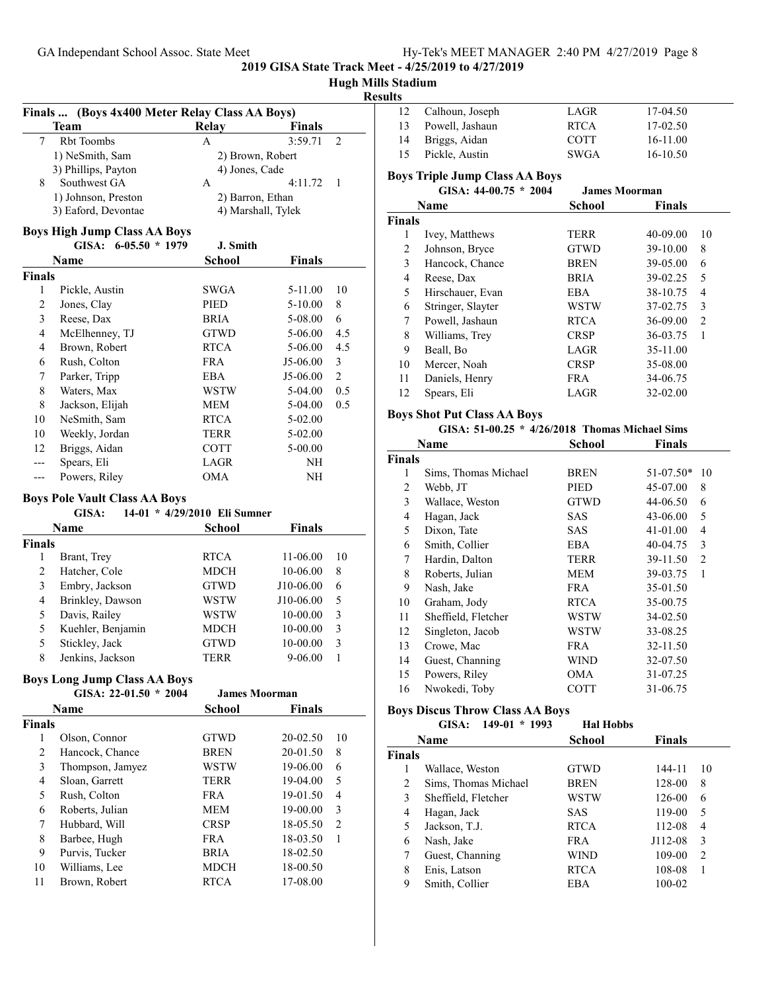# **Hugh Mills Stadium**

# **Results**

| (Boys 4x400 Meter Relay Class AA Boys)<br>Finals |                                      |                              |               |                |
|--------------------------------------------------|--------------------------------------|------------------------------|---------------|----------------|
|                                                  | Team                                 | Relay                        | <b>Finals</b> |                |
| 7                                                | <b>Rbt Toombs</b>                    | A                            | 3:59.71       | 2              |
|                                                  | 1) NeSmith, Sam                      | 2) Brown, Robert             |               |                |
|                                                  | 3) Phillips, Payton                  | 4) Jones, Cade               |               |                |
| 8                                                | Southwest GA                         | A                            | 4:11.72       | 1              |
|                                                  | 1) Johnson, Preston                  | 2) Barron, Ethan             |               |                |
|                                                  | 3) Eaford, Devontae                  | 4) Marshall, Tylek           |               |                |
|                                                  | <b>Boys High Jump Class AA Boys</b>  |                              |               |                |
|                                                  | $6-05.50 * 1979$<br>GISA:            | J. Smith                     |               |                |
|                                                  | Name                                 | School                       | <b>Finals</b> |                |
| <b>Finals</b>                                    |                                      |                              |               |                |
| 1                                                | Pickle, Austin                       | SWGA                         | 5-11.00       | 10             |
| 2                                                | Jones, Clay                          | PIED                         | 5-10.00       | 8              |
| 3                                                | Reese, Dax                           | <b>BRIA</b>                  | 5-08.00       | 6              |
| $\overline{4}$                                   | McElhenney, TJ                       | <b>GTWD</b>                  | 5-06.00       | 4.5            |
| 4                                                | Brown, Robert                        | <b>RTCA</b>                  | 5-06.00       | 4.5            |
| 6                                                | Rush, Colton                         | FRA                          | J5-06.00      | 3              |
| 7                                                | Parker, Tripp                        | EBA                          | J5-06.00      | $\overline{c}$ |
| $\,8\,$                                          | Waters, Max                          | <b>WSTW</b>                  | 5-04.00       | 0.5            |
| 8                                                | Jackson, Elijah                      | MEM                          | 5-04.00       | 0.5            |
| 10                                               | NeSmith, Sam                         | <b>RTCA</b>                  | 5-02.00       |                |
| 10                                               | Weekly, Jordan                       | TERR                         | 5-02.00       |                |
| 12                                               | Briggs, Aidan                        | <b>COTT</b>                  | 5-00.00       |                |
| ---                                              | Spears, Eli                          | LAGR                         | NH            |                |
| $---$                                            | Powers, Riley                        | <b>OMA</b>                   | NH            |                |
|                                                  | <b>Boys Pole Vault Class AA Boys</b> |                              |               |                |
|                                                  | GISA:                                | 14-01 * 4/29/2010 Eli Sumner |               |                |
|                                                  | Name                                 | <b>School</b>                | <b>Finals</b> |                |
| <b>Finals</b>                                    |                                      |                              |               |                |
| 1                                                | Brant, Trey                          | <b>RTCA</b>                  | 11-06.00      | 10             |
| $\overline{c}$                                   | Hatcher, Cole                        | MDCH                         | 10-06.00      | 8              |
| 3                                                | Embry, Jackson                       | <b>GTWD</b>                  | J10-06.00     | 6              |
| $\overline{\mathbf{4}}$                          | Brinkley, Dawson                     | WSTW                         | J10-06.00     | 5              |
| 5                                                | Davis, Railey                        | WSTW                         | 10-00.00      | 3              |
| 5                                                | Kuehler, Benjamin                    | MDCH                         | 10-00.00      | 3              |
| 5                                                | Stickley, Jack                       | GTWD                         | 10-00.00      | 3              |
| 8                                                | Jenkins, Jackson                     | <b>TERR</b>                  | 9-06.00       | 1              |
|                                                  | <b>Boys Long Jump Class AA Boys</b>  |                              |               |                |

|               | GISA: $22-01.50 * 2004$ |             | <b>James Moorman</b> |                |
|---------------|-------------------------|-------------|----------------------|----------------|
|               | <b>Name</b>             | School      | Finals               |                |
| <b>Finals</b> |                         |             |                      |                |
| 1             | Olson, Connor           | <b>GTWD</b> | 20-02.50             | 10             |
| 2             | Hancock, Chance         | <b>BREN</b> | 20-01.50             | 8              |
| 3             | Thompson, Jamyez        | WSTW        | 19-06.00             | 6              |
| 4             | Sloan, Garrett          | TERR        | 19-04.00             | 5              |
| 5             | Rush, Colton            | <b>FRA</b>  | 19-01.50             | 4              |
| 6             | Roberts, Julian         | <b>MEM</b>  | 19-00.00             | 3              |
| 7             | Hubbard, Will           | <b>CRSP</b> | 18-05.50             | $\overline{2}$ |
| 8             | Barbee, Hugh            | <b>FRA</b>  | 18-03.50             | 1              |
| 9             | Purvis, Tucker          | <b>BRIA</b> | 18-02.50             |                |
| 10            | Williams, Lee           | <b>MDCH</b> | 18-00.50             |                |
| 11            | Brown, Robert           | <b>RTCA</b> | 17-08.00             |                |

| 12            | Calhoun, Joseph                                | LAGR                 | 17-04.50      |                |
|---------------|------------------------------------------------|----------------------|---------------|----------------|
| 13            | Powell, Jashaun                                | <b>RTCA</b>          | 17-02.50      |                |
| 14            | Briggs, Aidan                                  | <b>COTT</b>          | 16-11.00      |                |
| 15            | Pickle, Austin                                 | SWGA                 | 16-10.50      |                |
|               | <b>Boys Triple Jump Class AA Boys</b>          |                      |               |                |
|               | GISA: $44-00.75 * 2004$                        | <b>James Moorman</b> |               |                |
|               | Name                                           | School               | <b>Finals</b> |                |
| <b>Finals</b> |                                                |                      |               |                |
| 1             | Ivey, Matthews                                 | TERR                 | 40-09.00      | 10             |
| 2             | Johnson, Bryce                                 | <b>GTWD</b>          | 39-10.00      | 8              |
| 3             | Hancock, Chance                                | BREN                 | 39-05.00      | 6              |
| 4             | Reese, Dax                                     | <b>BRIA</b>          | 39-02.25      | 5              |
| 5             | Hirschauer, Evan                               | <b>EBA</b>           | 38-10.75      | 4              |
| 6             | Stringer, Slayter                              | WSTW                 | 37-02.75      | 3              |
| 7             | Powell, Jashaun                                | RTCA                 | 36-09.00      | $\overline{2}$ |
| 8             | Williams, Trey                                 | <b>CRSP</b>          | 36-03.75      | $\mathbf{1}$   |
| 9             | Beall, Bo                                      | LAGR                 | 35-11.00      |                |
| 10            | Mercer, Noah                                   | <b>CRSP</b>          | 35-08.00      |                |
| 11            | Daniels, Henry                                 | <b>FRA</b>           | 34-06.75      |                |
| 12            | Spears, Eli                                    | LAGR                 | 32-02.00      |                |
|               | <b>Boys Shot Put Class AA Boys</b>             |                      |               |                |
|               | GISA: 51-00.25 * 4/26/2018 Thomas Michael Sims |                      |               |                |
|               | Name                                           | School               | Finals        |                |
| <b>Finals</b> |                                                |                      |               |                |
| 1             | Sims, Thomas Michael                           | <b>BREN</b>          | $51-07.50*$   | 10             |
| 2             | Webb, JT                                       | PIED                 | 45-07.00      | 8              |
| 3             | Wallace, Weston                                | <b>GTWD</b>          | 44-06.50      | 6              |

| 3  | Wallace, Weston     | <b>GTWD</b> | 44-06.50 | 6              |
|----|---------------------|-------------|----------|----------------|
| 4  | Hagan, Jack         | SAS         | 43-06.00 | 5              |
| 5  | Dixon, Tate         | SAS         | 41-01.00 | 4              |
| 6  | Smith, Collier      | <b>EBA</b>  | 40-04.75 | 3              |
| 7  | Hardin, Dalton      | <b>TERR</b> | 39-11.50 | $\overline{2}$ |
| 8  | Roberts, Julian     | MEM         | 39-03.75 | 1              |
| 9  | Nash, Jake          | <b>FRA</b>  | 35-01.50 |                |
| 10 | Graham, Jody        | <b>RTCA</b> | 35-00.75 |                |
| 11 | Sheffield, Fletcher | WSTW        | 34-02.50 |                |
| 12 | Singleton, Jacob    | WSTW        | 33-08.25 |                |
| 13 | Crowe, Mac          | <b>FRA</b>  | 32-11.50 |                |
| 14 | Guest, Channing     | WIND        | 32-07.50 |                |
| 15 | Powers, Riley       | <b>OMA</b>  | 31-07.25 |                |
| 16 | Nwokedi, Toby       | COTT        | 31-06.75 |                |

# **Boys Discus Throw Class AA Boys**

|               | $149-01 * 1993$<br>GISA: | <b>Hal Hobbs</b> |               |                |
|---------------|--------------------------|------------------|---------------|----------------|
|               | <b>Name</b>              | School           | <b>Finals</b> |                |
| <b>Finals</b> |                          |                  |               |                |
| 1             | Wallace, Weston          | <b>GTWD</b>      | 144-11        | 10             |
| 2             | Sims, Thomas Michael     | <b>BREN</b>      | 128-00        | 8              |
| 3             | Sheffield, Fletcher      | WSTW             | 126-00        | 6              |
| 4             | Hagan, Jack              | <b>SAS</b>       | 119-00        | 5              |
| 5             | Jackson, T.J.            | <b>RTCA</b>      | 112-08        | 4              |
| 6             | Nash, Jake               | <b>FRA</b>       | J112-08       | 3              |
| 7             | Guest, Channing          | <b>WIND</b>      | 109-00        | $\overline{2}$ |
| 8             | Enis, Latson             | <b>RTCA</b>      | 108-08        |                |
| 9             | Smith, Collier           | EBA              | 100-02        |                |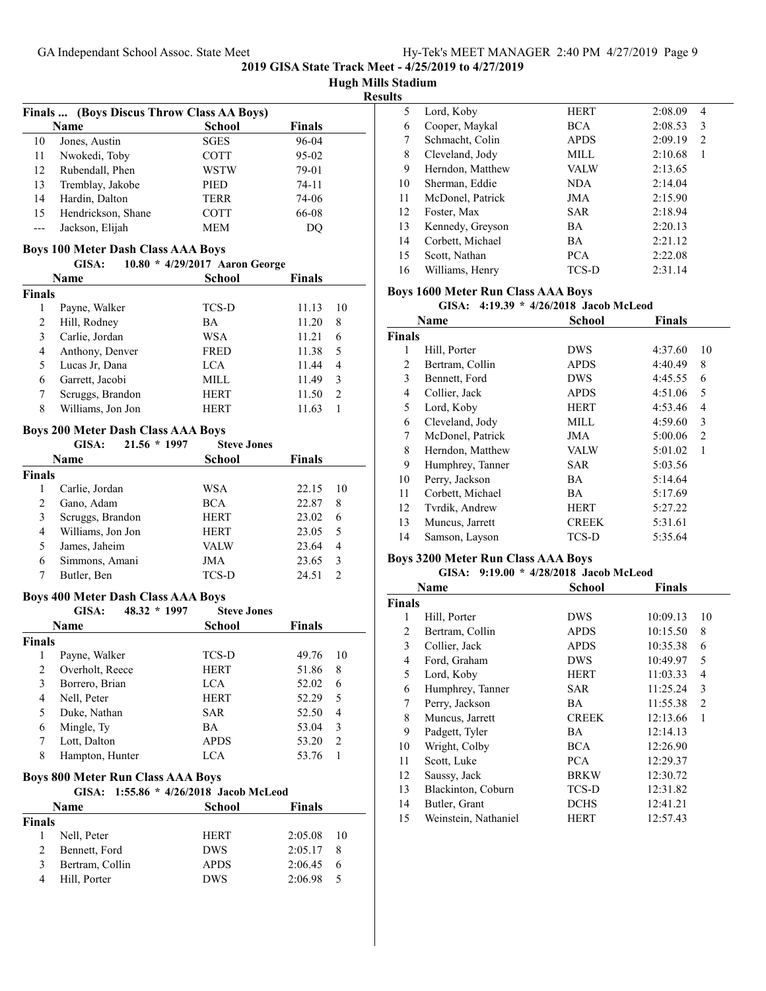**Hugh Mills Stadium**

**Results**

|    | Finals  (Boys Discus Throw Class AA Boys) |               |           |
|----|-------------------------------------------|---------------|-----------|
|    | Name                                      | <b>School</b> | Finals    |
| 10 | Jones, Austin                             | <b>SGES</b>   | 96-04     |
| 11 | Nwokedi, Toby                             | <b>COTT</b>   | $95 - 02$ |
| 12 | Rubendall, Phen                           | <b>WSTW</b>   | 79-01     |
| 13 | Tremblay, Jakobe                          | <b>PIED</b>   | $74 - 11$ |
| 14 | Hardin, Dalton                            | <b>TERR</b>   | 74-06     |
| 15 | Hendrickson, Shane                        | <b>COTT</b>   | 66-08     |
|    | Jackson, Elijah                           | <b>MEM</b>    | DO        |

### **Boys 100 Meter Dash Class AAA Boys**

| GISA: |  | 10.80 * 4/29/2017 Aaron George |
|-------|--|--------------------------------|
|       |  |                                |

|               | Name              | <b>School</b> | <b>Finals</b> |
|---------------|-------------------|---------------|---------------|
| <b>Finals</b> |                   |               |               |
|               | Payne, Walker     | <b>TCS-D</b>  | 11.13<br>10   |
| 2             | Hill, Rodney      | BA            | 11.20<br>8    |
| 3             | Carlie, Jordan    | WSA           | 11.21<br>6    |
| 4             | Anthony, Denver   | <b>FRED</b>   | 11.38<br>5    |
|               | Lucas Jr, Dana    | LCA           | 11.44<br>4    |
| 6             | Garrett, Jacobi   | MILL          | 3<br>11.49    |
|               | Scruggs, Brandon  | <b>HERT</b>   | 2<br>11.50    |
| 8             | Williams, Jon Jon | HERT          | 11.63         |

#### **Boys 200 Meter Dash Class AAA Boys**

| GISA:       | $21.56 * 1997$ | <b>Steve Jones</b>                                                                                       |               |               |
|-------------|----------------|----------------------------------------------------------------------------------------------------------|---------------|---------------|
| Name        |                | <b>School</b>                                                                                            | <b>Finals</b> |               |
|             |                |                                                                                                          |               |               |
|             |                | WSA                                                                                                      | 22.15         | 10            |
|             |                | <b>BCA</b>                                                                                               | 22.87         | 8             |
|             |                | <b>HERT</b>                                                                                              | 23.02         | 6             |
|             |                | <b>HERT</b>                                                                                              | 23.05         | 5             |
|             |                | <b>VALW</b>                                                                                              | 23.64         | 4             |
|             |                | JMA                                                                                                      | 23.65         | 3             |
| Butler, Ben |                | <b>TCS-D</b>                                                                                             | 24.51         | $\mathcal{D}$ |
|             |                | Carlie, Jordan<br>Gano, Adam<br>Scruggs, Brandon<br>Williams, Jon Jon<br>James, Jaheim<br>Simmons, Amani |               |               |

#### **Boys 400 Meter Dash Class AAA Boys**

|        | 48.32 * 1997<br>GISA: | <b>Steve Jones</b> |        |                |
|--------|-----------------------|--------------------|--------|----------------|
|        | Name                  | School             | Finals |                |
| Finals |                       |                    |        |                |
|        | Payne, Walker         | TCS-D              | 49.76  | 10             |
| 2      | Overholt, Reece       | <b>HERT</b>        | 51.86  | 8              |
| 3      | Borrero, Brian        | LCA                | 52.02  | 6              |
| 4      | Nell, Peter           | <b>HERT</b>        | 52.29  | 5              |
| 5      | Duke, Nathan          | <b>SAR</b>         | 52.50  | 4              |
| 6      | Mingle, Ty            | <b>BA</b>          | 53.04  | 3              |
|        | Lott, Dalton          | <b>APDS</b>        | 53.20  | $\mathfrak{D}$ |
| 8      | Hampton, Hunter       | LCA                | 53.76  |                |
|        |                       |                    |        |                |

# **Boys 800 Meter Run Class AAA Boys**

|  |  | GISA: 1:55.86 * 4/26/2018 Jacob McLeod |
|--|--|----------------------------------------|
|  |  |                                        |

| <b>Name</b>   |                 | <b>School</b> | <b>Finals</b> |      |
|---------------|-----------------|---------------|---------------|------|
| <b>Finals</b> |                 |               |               |      |
|               | Nell, Peter     | <b>HERT</b>   | 2:05.08       | - 10 |
| 2             | Bennett, Ford   | <b>DWS</b>    | 2:05.17       | -8   |
| 3             | Bertram, Collin | <b>APDS</b>   | 2:06.45       | -6   |
| 4             | Hill, Porter    | <b>DWS</b>    | 2:06.98       | -5   |

| 5  | Lord, Koby       | <b>HERT</b> | 2:08.09<br>4 |
|----|------------------|-------------|--------------|
| 6  | Cooper, Maykal   | <b>BCA</b>  | 2:08.53<br>3 |
| 7  | Schmacht, Colin  | <b>APDS</b> | 2:09.19<br>2 |
| 8  | Cleveland, Jody  | MILL        | 2:10.68      |
| 9  | Herndon, Matthew | VALW        | 2:13.65      |
| 10 | Sherman, Eddie   | NDA.        | 2:14.04      |
| 11 | McDonel, Patrick | JMA         | 2:15.90      |
| 12 | Foster, Max      | <b>SAR</b>  | 2:18.94      |
| 13 | Kennedy, Greyson | <b>BA</b>   | 2:20.13      |
| 14 | Corbett, Michael | <b>BA</b>   | 2:21.12      |
| 15 | Scott, Nathan    | <b>PCA</b>  | 2:22.08      |
| 16 | Williams, Henry  | TCS-D       | 2:31.14      |

# **Boys 1600 Meter Run Class AAA Boys**

### GISA: 4:19.39 \* 4/26/2018 Jacob McLeod

|        | <b>Name</b>      | <b>School</b> | <b>Finals</b>             |  |
|--------|------------------|---------------|---------------------------|--|
| Finals |                  |               |                           |  |
| 1      | Hill, Porter     | <b>DWS</b>    | 4:37.60<br>10             |  |
| 2      | Bertram, Collin  | <b>APDS</b>   | 4:40.49<br>8              |  |
| 3      | Bennett, Ford    | <b>DWS</b>    | 6<br>4:45.55              |  |
| 4      | Collier, Jack    | <b>APDS</b>   | 5<br>4:51.06              |  |
| 5      | Lord, Koby       | <b>HERT</b>   | 4:53.46<br>4              |  |
| 6      | Cleveland, Jody  | MILL          | 3<br>4:59.60              |  |
| 7      | McDonel, Patrick | <b>JMA</b>    | 5:00.06<br>$\overline{c}$ |  |
| 8      | Herndon, Matthew | <b>VALW</b>   | 5:01.02<br>1              |  |
| 9      | Humphrey, Tanner | <b>SAR</b>    | 5:03.56                   |  |
| 10     | Perry, Jackson   | BA            | 5:14.64                   |  |
| 11     | Corbett, Michael | <b>BA</b>     | 5:17.69                   |  |
| 12     | Tvrdik, Andrew   | HERT          | 5:27.22                   |  |
| 13     | Muncus, Jarrett  | <b>CREEK</b>  | 5:31.61                   |  |
| 14     | Samson, Layson   | TCS-D         | 5:35.64                   |  |
|        |                  |               |                           |  |

# **Boys 3200 Meter Run Class AAA Boys**

### GISA: 9:19.00 \* 4/28/2018 Jacob McLeod

| Name   |                      | <b>School</b> | <b>Finals</b> |                |
|--------|----------------------|---------------|---------------|----------------|
| Finals |                      |               |               |                |
| 1      | Hill, Porter         | <b>DWS</b>    | 10:09.13      | 10             |
| 2      | Bertram, Collin      | <b>APDS</b>   | 10:15.50      | 8              |
| 3      | Collier, Jack        | <b>APDS</b>   | 10:35.38      | 6              |
| 4      | Ford, Graham         | <b>DWS</b>    | 10:49.97      | 5              |
| 5      | Lord, Koby           | <b>HERT</b>   | 11:03.33      | 4              |
| 6      | Humphrey, Tanner     | <b>SAR</b>    | 11:25.24      | 3              |
| 7      | Perry, Jackson       | <b>BA</b>     | 11:55.38      | $\overline{2}$ |
| 8      | Muncus, Jarrett      | <b>CREEK</b>  | 12:13.66      | 1              |
| 9      | Padgett, Tyler       | <b>BA</b>     | 12:14.13      |                |
| 10     | Wright, Colby        | <b>BCA</b>    | 12:26.90      |                |
| 11     | Scott, Luke          | <b>PCA</b>    | 12:29.37      |                |
| 12     | Saussy, Jack         | <b>BRKW</b>   | 12:30.72      |                |
| 13     | Blackinton, Coburn   | TCS-D         | 12:31.82      |                |
| 14     | Butler, Grant        | <b>DCHS</b>   | 12:41.21      |                |
| 15     | Weinstein, Nathaniel | <b>HERT</b>   | 12:57.43      |                |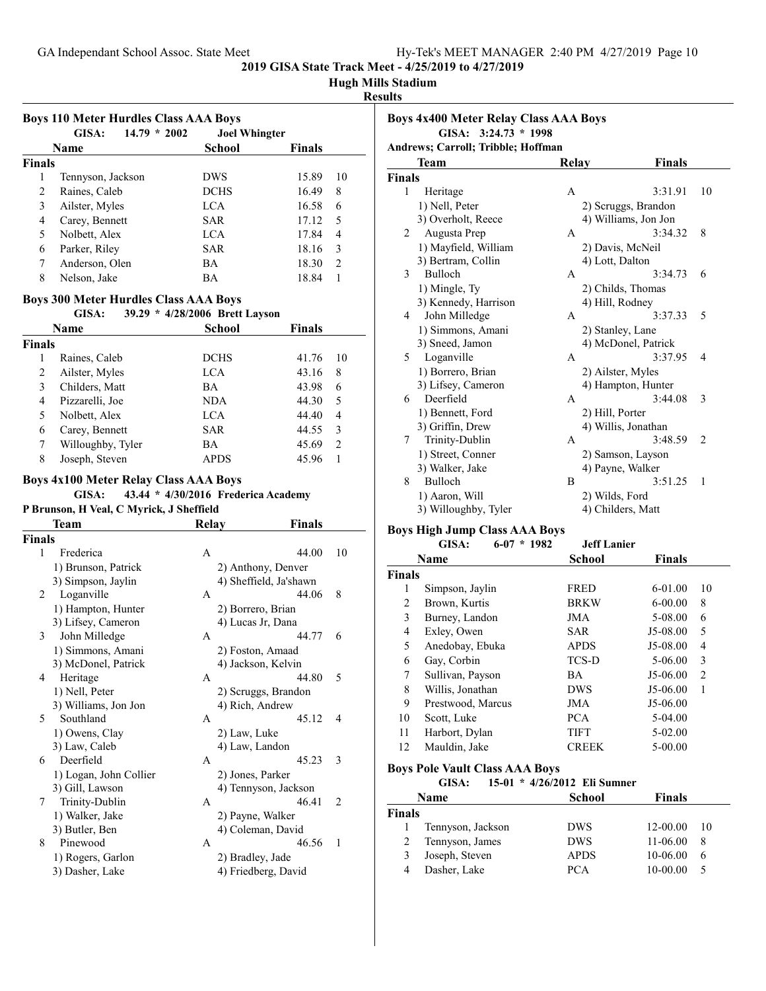# **Hugh Mills Stadium**

# **Results**

| <b>Boys 110 Meter Hurdles Class AAA Boys</b> |                         |                      |               |               |  |
|----------------------------------------------|-------------------------|----------------------|---------------|---------------|--|
|                                              | $14.79 * 2002$<br>GISA: | <b>Joel Whingter</b> |               |               |  |
|                                              | <b>Name</b>             | <b>School</b>        | <b>Finals</b> |               |  |
| <b>Finals</b>                                |                         |                      |               |               |  |
| 1                                            | Tennyson, Jackson       | <b>DWS</b>           | 15.89         | 10            |  |
| 2                                            | Raines, Caleb           | <b>DCHS</b>          | 16.49         | 8             |  |
| 3                                            | Ailster, Myles          | <b>LCA</b>           | 16.58         | 6             |  |
| 4                                            | Carey, Bennett          | SAR                  | 17.12         | 5             |  |
| 5                                            | Nolbett, Alex           | LCA.                 | 17.84         | 4             |  |
| 6                                            | Parker, Riley           | SAR                  | 18.16         | 3             |  |
| 7                                            | Anderson, Olen          | BA                   | 18.30         | $\mathcal{L}$ |  |
| 8                                            | Nelson, Jake            | ВA                   | 18.84         |               |  |

# **Boys 300 Meter Hurdles Class AAA Boys**

#### **GISA:** 39.29 \* 4/28/2006 Brett Layson

| Name          |                   | School      | <b>Finals</b>           |
|---------------|-------------------|-------------|-------------------------|
| <b>Finals</b> |                   |             |                         |
|               | Raines, Caleb     | <b>DCHS</b> | 41.76<br>10             |
| 2             | Ailster, Myles    | LCA.        | 43.16<br>8              |
| 3             | Childers, Matt    | <b>BA</b>   | 43.98<br>6              |
| 4             | Pizzarelli, Joe   | NDA         | 44.30<br>5              |
| 5             | Nolbett, Alex     | LCA         | 44.40<br>4              |
| 6             | Carey, Bennett    | <b>SAR</b>  | 44.55<br>3              |
|               | Willoughby, Tyler | BA          | 45.69<br>$\overline{2}$ |
| 8             | Joseph, Steven    | <b>APDS</b> | 45.96                   |

#### **Boys 4x100 Meter Relay Class AAA Boys**

**GISA:** 43.44 \* 4/30/2016 Frederica Academy

# **P Brunson, H Veal, C Myrick, J Sheffield**

|               | Team                   | Relay | Finals                 |                |
|---------------|------------------------|-------|------------------------|----------------|
| <b>Finals</b> |                        |       |                        |                |
| 1             | Frederica              | A     | 44.00                  | 10             |
|               | 1) Brunson, Patrick    |       | 2) Anthony, Denver     |                |
|               | 3) Simpson, Jaylin     |       | 4) Sheffield, Ja'shawn |                |
| 2             | Loganville             | A     | 44.06                  | 8              |
|               | 1) Hampton, Hunter     |       | 2) Borrero, Brian      |                |
|               | 3) Lifsey, Cameron     |       | 4) Lucas Jr, Dana      |                |
| 3             | John Milledge          | A     | 44.77                  | 6              |
|               | 1) Simmons, Amani      |       | 2) Foston, Amaad       |                |
|               | 3) McDonel, Patrick    |       | 4) Jackson, Kelvin     |                |
| 4             | Heritage               | A     | 44.80                  | 5              |
|               | 1) Nell, Peter         |       | 2) Scruggs, Brandon    |                |
|               | 3) Williams, Jon Jon   |       | 4) Rich, Andrew        |                |
| 5             | Southland              | A     | 45.12                  | 4              |
|               | 1) Owens, Clay         |       | 2) Law, Luke           |                |
|               | 3) Law, Caleb          |       | 4) Law, Landon         |                |
| 6             | Deerfield              | A     | 45.23                  | 3              |
|               | 1) Logan, John Collier |       | 2) Jones, Parker       |                |
|               | 3) Gill, Lawson        |       | 4) Tennyson, Jackson   |                |
| 7             | Trinity-Dublin         | A     | 46.41                  | $\overline{2}$ |
|               | 1) Walker, Jake        |       | 2) Payne, Walker       |                |
|               | 3) Butler, Ben         |       | 4) Coleman, David      |                |
| 8             | Pinewood               | A     | 46.56                  | 1              |
|               | 1) Rogers, Garlon      |       | 2) Bradley, Jade       |                |
|               | 3) Dasher, Lake        |       | 4) Friedberg, David    |                |
|               |                        |       |                        |                |

| <b>Boys 4x400 Meter Relay Class AAA Boys</b> |                  |                                                                      |                                                                                                                                                                                                                                                                                                                                            |  |
|----------------------------------------------|------------------|----------------------------------------------------------------------|--------------------------------------------------------------------------------------------------------------------------------------------------------------------------------------------------------------------------------------------------------------------------------------------------------------------------------------------|--|
|                                              |                  |                                                                      |                                                                                                                                                                                                                                                                                                                                            |  |
|                                              |                  |                                                                      |                                                                                                                                                                                                                                                                                                                                            |  |
| Team                                         | Relay            | <b>Finals</b>                                                        |                                                                                                                                                                                                                                                                                                                                            |  |
| <b>Finals</b>                                |                  |                                                                      |                                                                                                                                                                                                                                                                                                                                            |  |
| Heritage                                     | A                | 3:31.91                                                              | 10                                                                                                                                                                                                                                                                                                                                         |  |
| 1) Nell, Peter                               |                  |                                                                      |                                                                                                                                                                                                                                                                                                                                            |  |
| 3) Overholt, Reece                           |                  |                                                                      |                                                                                                                                                                                                                                                                                                                                            |  |
| Augusta Prep                                 | $\mathsf{A}$     | 3:34.32                                                              | 8                                                                                                                                                                                                                                                                                                                                          |  |
| 1) Mayfield, William                         |                  |                                                                      |                                                                                                                                                                                                                                                                                                                                            |  |
| 3) Bertram, Collin                           |                  |                                                                      |                                                                                                                                                                                                                                                                                                                                            |  |
| Bulloch                                      | A                | 3:34.73                                                              | 6                                                                                                                                                                                                                                                                                                                                          |  |
| 1) Mingle, Ty                                |                  |                                                                      |                                                                                                                                                                                                                                                                                                                                            |  |
| 3) Kennedy, Harrison                         |                  |                                                                      |                                                                                                                                                                                                                                                                                                                                            |  |
| John Milledge                                | A                | 3:37.33                                                              | 5                                                                                                                                                                                                                                                                                                                                          |  |
| 1) Simmons, Amani                            |                  |                                                                      |                                                                                                                                                                                                                                                                                                                                            |  |
| 3) Sneed, Jamon                              |                  |                                                                      |                                                                                                                                                                                                                                                                                                                                            |  |
| Loganville                                   | $\mathsf{A}$     | 3:37.95                                                              | 4                                                                                                                                                                                                                                                                                                                                          |  |
| 1) Borrero, Brian                            |                  |                                                                      |                                                                                                                                                                                                                                                                                                                                            |  |
| 3) Lifsey, Cameron                           |                  |                                                                      |                                                                                                                                                                                                                                                                                                                                            |  |
| Deerfield                                    | A                | 3:44.08                                                              | 3                                                                                                                                                                                                                                                                                                                                          |  |
| 1) Bennett, Ford                             |                  |                                                                      |                                                                                                                                                                                                                                                                                                                                            |  |
|                                              |                  |                                                                      |                                                                                                                                                                                                                                                                                                                                            |  |
| Trinity-Dublin                               | A                | 3:48.59                                                              | $\overline{2}$                                                                                                                                                                                                                                                                                                                             |  |
| 1) Street, Conner                            |                  |                                                                      |                                                                                                                                                                                                                                                                                                                                            |  |
| 3) Walker, Jake                              |                  |                                                                      |                                                                                                                                                                                                                                                                                                                                            |  |
| Bulloch                                      | B                | 3:51.25                                                              | $\mathbf{1}$                                                                                                                                                                                                                                                                                                                               |  |
| 1) Aaron, Will                               |                  |                                                                      |                                                                                                                                                                                                                                                                                                                                            |  |
| 3) Willoughby, Tyler                         |                  |                                                                      |                                                                                                                                                                                                                                                                                                                                            |  |
|                                              | 3) Griffin, Drew | GISA: $3:24.73 * 1998$<br><b>Andrews</b> ; Carroll; Tribble; Hoffman | 2) Scruggs, Brandon<br>4) Williams, Jon Jon<br>2) Davis, McNeil<br>4) Lott, Dalton<br>2) Childs, Thomas<br>4) Hill, Rodney<br>2) Stanley, Lane<br>4) McDonel, Patrick<br>2) Ailster, Myles<br>4) Hampton, Hunter<br>2) Hill, Porter<br>4) Willis, Jonathan<br>2) Samson, Layson<br>4) Payne, Walker<br>2) Wilds, Ford<br>4) Childers, Matt |  |

# **Boys High Jump Class AAA Boys**

|               |                   | Duys High Jump Class AAA Duys |                    |               |                |
|---------------|-------------------|-------------------------------|--------------------|---------------|----------------|
|               | GISA:             | $6-07 * 1982$                 | <b>Jeff Lanier</b> |               |                |
|               | Name              |                               | School             | <b>Finals</b> |                |
| <b>Finals</b> |                   |                               |                    |               |                |
| 1             | Simpson, Jaylin   |                               | <b>FRED</b>        | 6-01.00       | 10             |
| 2             | Brown, Kurtis     |                               | <b>BRKW</b>        | $6 - 00.00$   | 8              |
| 3             | Burney, Landon    |                               | JMA                | 5-08.00       | 6              |
| 4             | Exley, Owen       |                               | <b>SAR</b>         | J5-08.00      | 5              |
| 5             | Anedobay, Ebuka   |                               | <b>APDS</b>        | J5-08.00      | 4              |
| 6             | Gay, Corbin       |                               | TCS-D              | 5-06.00       | 3              |
| 7             | Sullivan, Payson  |                               | BA                 | $J5-06.00$    | $\mathfrak{D}$ |
| 8             | Willis, Jonathan  |                               | <b>DWS</b>         | $J5-06.00$    | 1              |
| 9             | Prestwood, Marcus |                               | JMA                | $J5-06.00$    |                |
| 10            | Scott, Luke       |                               | <b>PCA</b>         | 5-04.00       |                |
| 11            | Harbort, Dylan    |                               | <b>TIFT</b>        | 5-02.00       |                |
| 12            | Mauldin, Jake     |                               | <b>CREEK</b>       | 5-00.00       |                |

#### **Boys Pole Vault Class AAA Boys**

GISA: 15-01 \*  $4/26/2012$  Eli Sumner

| Name          |                   | <b>School</b> | <b>Finals</b> |    |
|---------------|-------------------|---------------|---------------|----|
| <b>Finals</b> |                   |               |               |    |
|               | Tennyson, Jackson | <b>DWS</b>    | 12-00.00      | 10 |
|               | Tennyson, James   | <b>DWS</b>    | 11-06.00      | 8  |
| 3             | Joseph, Steven    | <b>APDS</b>   | 10-06.00      | 6  |
|               | Dasher, Lake      | <b>PCA</b>    | 10-00.00      |    |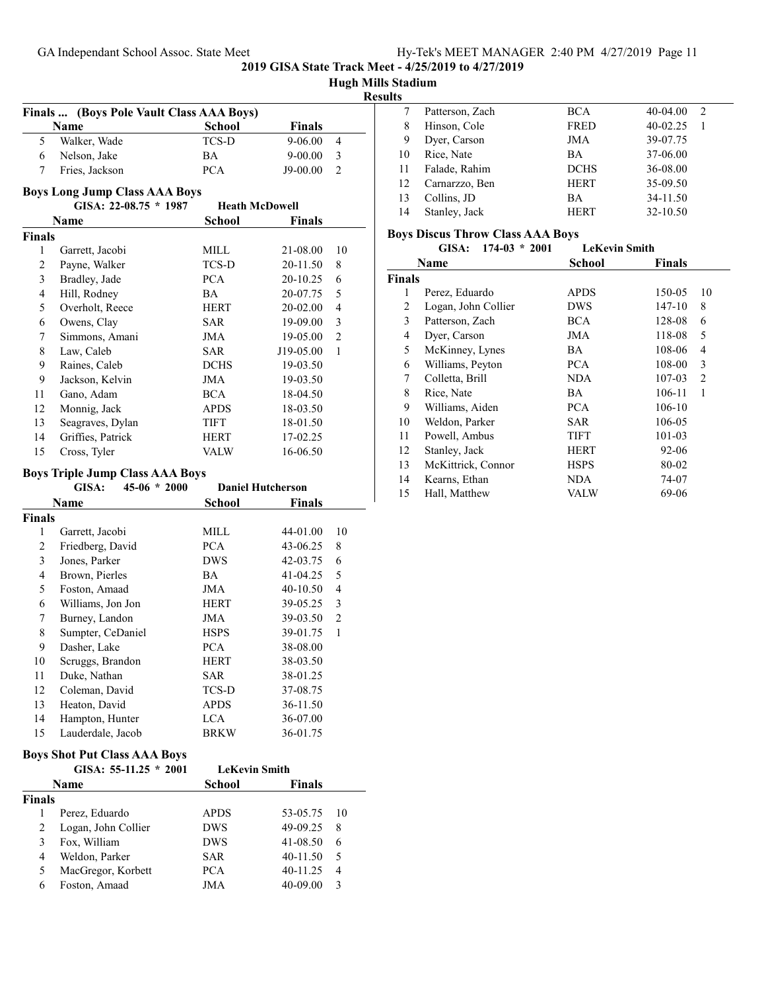**Hugh Mills Stadium Results Finals ... (Boys Pole Vault Class AAA Boys) Name School Finals** Walker, Wade TCS-D 9-06.00 4 Nelson, Jake BA 9-00.00 3 Fries, Jackson PCA J9-00.00 2 **Boys Long Jump Class AAA Boys GISA: 22-08.75 \* Heath McDowell 1987 Name School Finals Finals** Garrett, Jacobi MILL 21-08.00 10 Payne, Walker TCS-D 20-11.50 8 Bradley, Jade PCA 20-10.25 6 Hill, Rodney BA 20-07.75 5 Overholt, Reece HERT 20-02.00 4 Owens, Clay SAR 19-09.00 3 Simmons, Amani JMA 19-05.00 2 Law, Caleb SAR J19-05.00 1 Raines, Caleb DCHS 19-03.50 Jackson, Kelvin JMA 19-03.50 Gano, Adam BCA 18-04.50 Monnig, Jack APDS 18-03.50 13 Seagraves, Dylan TIFT 18-01.50 14 Griffies, Patrick HERT 17-02.25 Cross, Tyler VALW 16-06.50 **Boys Triple Jump Class AAA Boys GISA: 45-06 \* Daniel Hutcherson 2000 Name School Finals Finals** Garrett, Jacobi MILL 44-01.00 10 2 Friedberg, David PCA 43-06.25 8 Jones, Parker DWS 42-03.75 6 Brown, Pierles BA 41-04.25 5 Foston, Amaad JMA 40-10.50 4 Williams, Jon Jon HERT 39-05.25 3 Burney, Landon JMA 39-03.50 2 Sumpter, CeDaniel HSPS 39-01.75 1 Dasher, Lake PCA 38-08.00 Scruggs, Brandon HERT 38-03.50 11 Duke, Nathan SAR 38-01.25 Coleman, David TCS-D 37-08.75 Heaton, David APDS 36-11.50 Hampton, Hunter LCA 36-07.00 Lauderdale, Jacob BRKW 36-01.75 **Boys Shot Put Class AAA Boys GISA: 55-11.25 \* LeKevin Smith 2001 Name School Finals Finals** Perez, Eduardo APDS 53-05.75 10 2 Logan, John Collier DWS 49-09.25 8 Fox, William DWS 41-08.50 6 Weldon, Parker SAR 40-11.50 5 5 MacGregor, Korbett PCA 40-11.25 4 Foston, Amaad JMA 40-09.00 3

| w  |                 |             |               |
|----|-----------------|-------------|---------------|
|    | Patterson, Zach | BCA         | 40-04.00<br>2 |
| 8  | Hinson, Cole    | <b>FRED</b> | 40-02.25      |
| 9  | Dyer, Carson    | JMA         | 39-07.75      |
| 10 | Rice, Nate      | <b>BA</b>   | 37-06.00      |
| 11 | Falade, Rahim   | <b>DCHS</b> | 36-08.00      |
| 12 | Carnarzzo, Ben  | <b>HERT</b> | 35-09.50      |
| 13 | Collins, JD     | BA          | 34-11.50      |
| 14 | Stanley, Jack   | <b>HERT</b> | 32-10.50      |
|    |                 |             |               |

#### **Boys Discus Throw Class AAA Boys**

**2019 GISA State Track Meet - 4/25/2019 to 4/27/2019**

| GISA: $174-03 * 2001$ |  | <b>LeKevin Smith</b> |
|-----------------------|--|----------------------|
|                       |  |                      |

| Name   |                     | School      | <b>Finals</b> |    |
|--------|---------------------|-------------|---------------|----|
| Finals |                     |             |               |    |
| 1      | Perez, Eduardo      | <b>APDS</b> | 150-05        | 10 |
| 2      | Logan, John Collier | <b>DWS</b>  | 147-10        | 8  |
| 3      | Patterson, Zach     | <b>BCA</b>  | 128-08        | 6  |
| 4      | Dyer, Carson        | JMA         | 118-08        | 5  |
| 5      | McKinney, Lynes     | BA          | 108-06        | 4  |
| 6      | Williams, Peyton    | <b>PCA</b>  | 108-00        | 3  |
| 7      | Colletta, Brill     | NDA.        | 107-03        | 2  |
| 8      | Rice, Nate          | BA          | 106-11        | 1  |
| 9      | Williams, Aiden     | PCA.        | 106-10        |    |
| 10     | Weldon, Parker      | <b>SAR</b>  | 106-05        |    |
| 11     | Powell, Ambus       | <b>TIFT</b> | 101-03        |    |
| 12     | Stanley, Jack       | <b>HERT</b> | 92-06         |    |
| 13     | McKittrick, Connor  | <b>HSPS</b> | 80-02         |    |
| 14     | Kearns, Ethan       | <b>NDA</b>  | 74-07         |    |
| 15     | Hall, Matthew       | VALW        | 69-06         |    |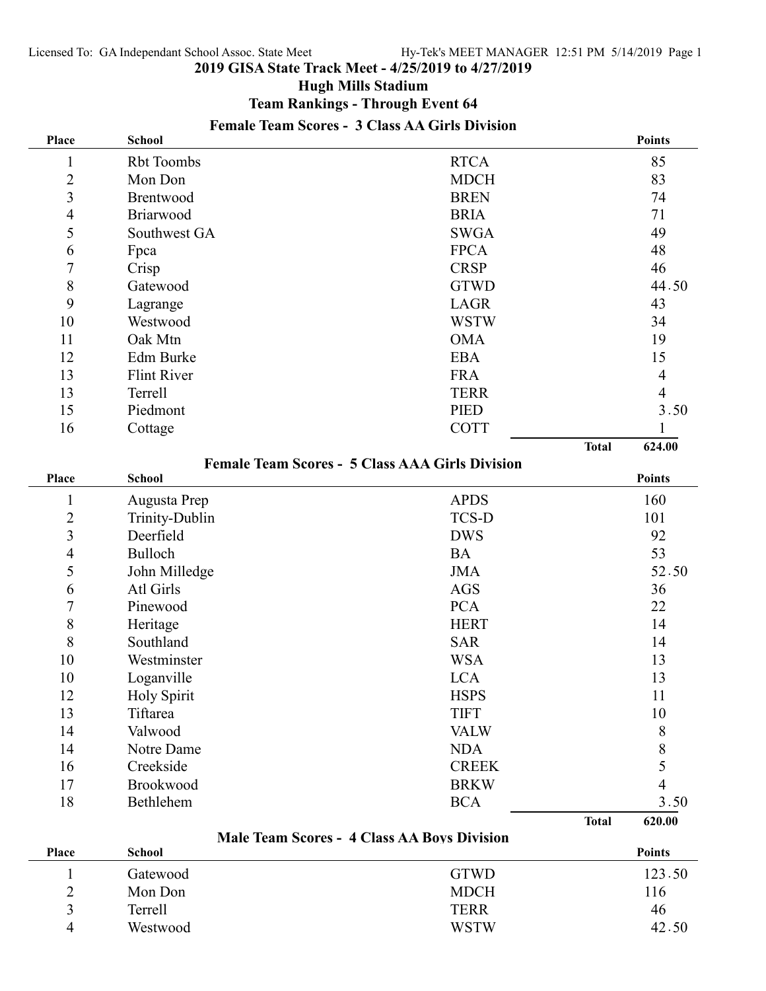# **Hugh Mills Stadium**

**Team Rankings - Through Event 64**

| Place          | <b>School</b>         |                                                        |              | <b>Points</b>            |
|----------------|-----------------------|--------------------------------------------------------|--------------|--------------------------|
| 1              | <b>Rbt Toombs</b>     | <b>RTCA</b>                                            |              | 85                       |
| $\overline{2}$ | Mon Don               | <b>MDCH</b>                                            |              | 83                       |
| 3              | Brentwood             | <b>BREN</b>                                            |              | 74                       |
| 4              | Briarwood             | <b>BRIA</b>                                            |              | 71                       |
| 5              | Southwest GA          | <b>SWGA</b>                                            |              | 49                       |
| 6              | Fpca                  | <b>FPCA</b>                                            |              | 48                       |
| 7              | Crisp                 | <b>CRSP</b>                                            |              | 46                       |
| $8\,$          | Gatewood              | <b>GTWD</b>                                            |              | 44.50                    |
| 9              | Lagrange              | <b>LAGR</b>                                            |              | 43                       |
| 10             | Westwood              | <b>WSTW</b>                                            |              | 34                       |
| 11             | Oak Mtn               | <b>OMA</b>                                             |              | 19                       |
| 12             | Edm Burke             | <b>EBA</b>                                             |              | 15                       |
| 13             | <b>Flint River</b>    | <b>FRA</b>                                             |              | $\overline{4}$           |
| 13             | Terrell               | <b>TERR</b>                                            |              | $\overline{\mathcal{A}}$ |
| 15             | Piedmont              | <b>PIED</b>                                            |              | 3.50                     |
| 16             | Cottage               | <b>COTT</b>                                            |              | 1                        |
|                |                       |                                                        | <b>Total</b> | 624.00                   |
|                |                       | <b>Female Team Scores - 5 Class AAA Girls Division</b> |              |                          |
| <b>Place</b>   | <b>School</b>         |                                                        |              | <b>Points</b>            |
| $\mathbf{1}$   | Augusta Prep          | <b>APDS</b>                                            |              | 160                      |
| $\overline{2}$ | <b>Trinity-Dublin</b> | <b>TCS-D</b>                                           |              | 101                      |
| 3              | Deerfield             | <b>DWS</b>                                             |              | 92                       |
| $\overline{4}$ | Bulloch               | <b>BA</b>                                              |              | 53                       |
| 5              | John Milledge         | <b>JMA</b>                                             |              | 52.50                    |
| 6              | Atl Girls             | <b>AGS</b>                                             |              | 36                       |
| 7              | Pinewood              | <b>PCA</b>                                             |              | 22                       |
| 8              | Heritage              | <b>HERT</b>                                            |              | 14                       |
| 8              | Southland             | <b>SAR</b>                                             |              | 14                       |
| 10             | Westminster           | <b>WSA</b>                                             |              | 13                       |
| 10             | Loganville            | <b>LCA</b>                                             |              | 13                       |
| 12             | Holy Spirit           | <b>HSPS</b>                                            |              | 11                       |
| 13             | Tiftarea              | <b>TIFT</b>                                            |              | 10                       |
| 14             | Valwood               | <b>VALW</b>                                            |              | 8                        |
| 14             | Notre Dame            | <b>NDA</b>                                             |              | 8                        |
| 16             | Creekside             | <b>CREEK</b>                                           |              | 5                        |
| 17             | Brookwood             | <b>BRKW</b>                                            |              | $\overline{\mathcal{A}}$ |
| 18             | Bethlehem             | <b>BCA</b>                                             |              | 3.50                     |
|                |                       |                                                        | <b>Total</b> | 620.00                   |

| Place  | <b>School</b> |             | <b>Points</b> |
|--------|---------------|-------------|---------------|
|        | Gatewood      | <b>GTWD</b> | 123.50        |
| ⌒<br>∽ | Mon Don       | <b>MDCH</b> | 116           |
| ັ      | Terrell       | <b>TERR</b> | 46            |
| 4      | Westwood      | <b>WSTW</b> | 42.50         |